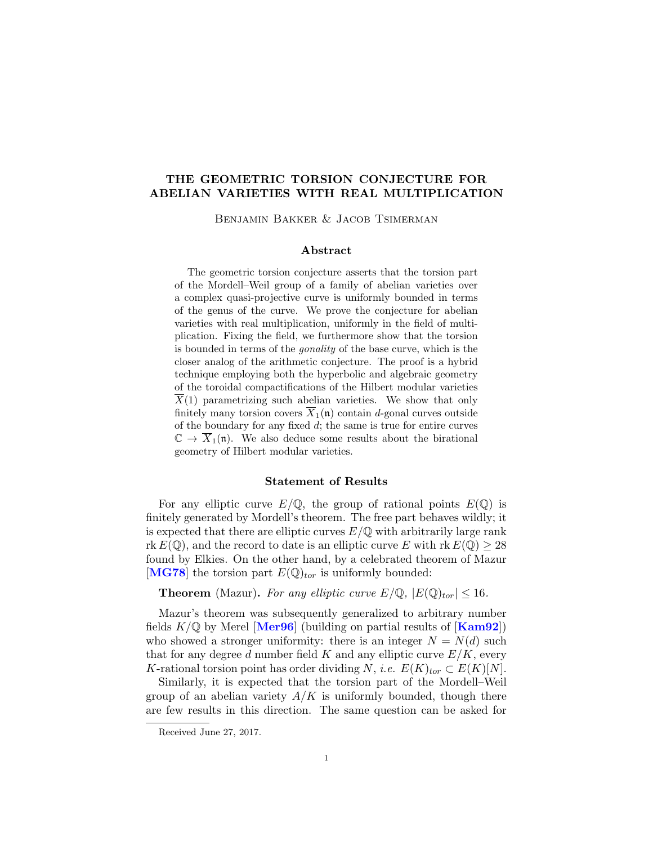# THE GEOMETRIC TORSION CONJECTURE FOR ABELIAN VARIETIES WITH REAL MULTIPLICATION

Benjamin Bakker & Jacob Tsimerman

#### Abstract

The geometric torsion conjecture asserts that the torsion part of the Mordell–Weil group of a family of abelian varieties over a complex quasi-projective curve is uniformly bounded in terms of the genus of the curve. We prove the conjecture for abelian varieties with real multiplication, uniformly in the field of multiplication. Fixing the field, we furthermore show that the torsion is bounded in terms of the gonality of the base curve, which is the closer analog of the arithmetic conjecture. The proof is a hybrid technique employing both the hyperbolic and algebraic geometry of the toroidal compactifications of the Hilbert modular varieties  $\overline{X}(1)$  parametrizing such abelian varieties. We show that only finitely many torsion covers  $\overline{X}_1(\mathfrak{n})$  contain d-gonal curves outside of the boundary for any fixed  $d$ ; the same is true for entire curves  $\mathbb{C} \to \overline{X}_1(\mathfrak{n})$ . We also deduce some results about the birational geometry of Hilbert modular varieties.

#### Statement of Results

For any elliptic curve  $E/\mathbb{Q}$ , the group of rational points  $E(\mathbb{Q})$  is finitely generated by Mordell's theorem. The free part behaves wildly; it is expected that there are elliptic curves  $E/\mathbb{Q}$  with arbitrarily large rank rk  $E(\mathbb{Q})$ , and the record to date is an elliptic curve E with rk  $E(\mathbb{Q}) \geq 28$ found by Elkies. On the other hand, by a celebrated theorem of Mazur [[MG78](#page-30-0)] the torsion part  $E(\mathbb{Q})_{tor}$  is uniformly bounded:

**Theorem** (Mazur). For any elliptic curve  $E/\mathbb{Q}$ ,  $|E(\mathbb{Q})_{tor}| \leq 16$ .

Mazur's theorem was subsequently generalized to arbitrary number fields  $K/\mathbb{Q}$  by Merel [[Mer96](#page-30-1)] (building on partial results of [[Kam92](#page-30-2)]) who showed a stronger uniformity: there is an integer  $N = N(d)$  such that for any degree d number field K and any elliptic curve  $E/K$ , every K-rational torsion point has order dividing N, i.e.  $E(K)_{tor} \subset E(K)[N]$ .

Similarly, it is expected that the torsion part of the Mordell–Weil group of an abelian variety  $A/K$  is uniformly bounded, though there are few results in this direction. The same question can be asked for

Received June 27, 2017.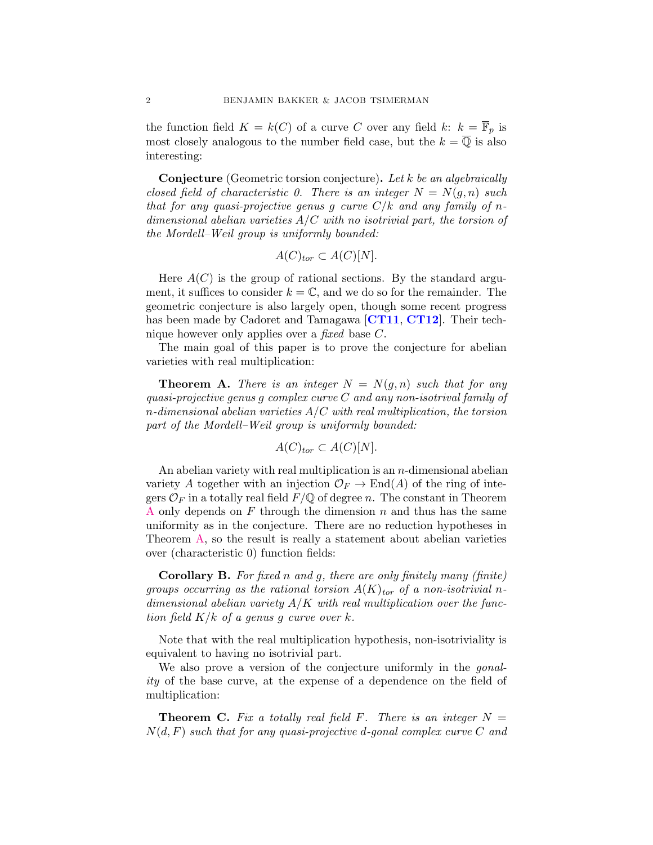the function field  $K = k(C)$  of a curve C over any field k:  $k = \overline{\mathbb{F}}_p$  is most closely analogous to the number field case, but the  $k = \overline{0}$  is also interesting:

**Conjecture** (Geometric torsion conjecture). Let k be an algebraically closed field of characteristic 0. There is an integer  $N = N(q, n)$  such that for any quasi-projective genus g curve  $C/k$  and any family of ndimensional abelian varieties  $A/C$  with no isotrivial part, the torsion of the Mordell–Weil group is uniformly bounded:

$$
A(C)_{tor} \subset A(C)[N].
$$

Here  $A(C)$  is the group of rational sections. By the standard argument, it suffices to consider  $k = \mathbb{C}$ , and we do so for the remainder. The geometric conjecture is also largely open, though some recent progress has been made by Cadoret and Tamagawa [[CT11](#page-29-0), [CT12](#page-29-1)]. Their technique however only applies over a fixed base C.

The main goal of this paper is to prove the conjecture for abelian varieties with real multiplication:

<span id="page-1-0"></span>**Theorem A.** There is an integer  $N = N(g, n)$  such that for any quasi-projective genus  $g$  complex curve  $C$  and any non-isotrival family of n-dimensional abelian varieties  $A/C$  with real multiplication, the torsion part of the Mordell–Weil group is uniformly bounded:

$$
A(C)_{tor} \subset A(C)[N].
$$

An abelian variety with real multiplication is an  $n$ -dimensional abelian variety A together with an injection  $\mathcal{O}_F \to \text{End}(A)$  of the ring of integers  $\mathcal{O}_F$  in a totally real field  $F/\mathbb{Q}$  of degree n. The constant in Theorem [A](#page-1-0) only depends on F through the dimension n and thus has the same uniformity as in the conjecture. There are no reduction hypotheses in Theorem [A,](#page-1-0) so the result is really a statement about abelian varieties over (characteristic 0) function fields:

<span id="page-1-1"></span>**Corollary B.** For fixed n and g, there are only finitely many (finite) groups occurring as the rational torsion  $A(K)_{tor}$  of a non-isotrivial ndimensional abelian variety  $A/K$  with real multiplication over the function field  $K/k$  of a genus g curve over k.

Note that with the real multiplication hypothesis, non-isotriviality is equivalent to having no isotrivial part.

We also prove a version of the conjecture uniformly in the *gonal*ity of the base curve, at the expense of a dependence on the field of multiplication:

<span id="page-1-2"></span>**Theorem C.** Fix a totally real field F. There is an integer  $N =$  $N(d, F)$  such that for any quasi-projective d-gonal complex curve C and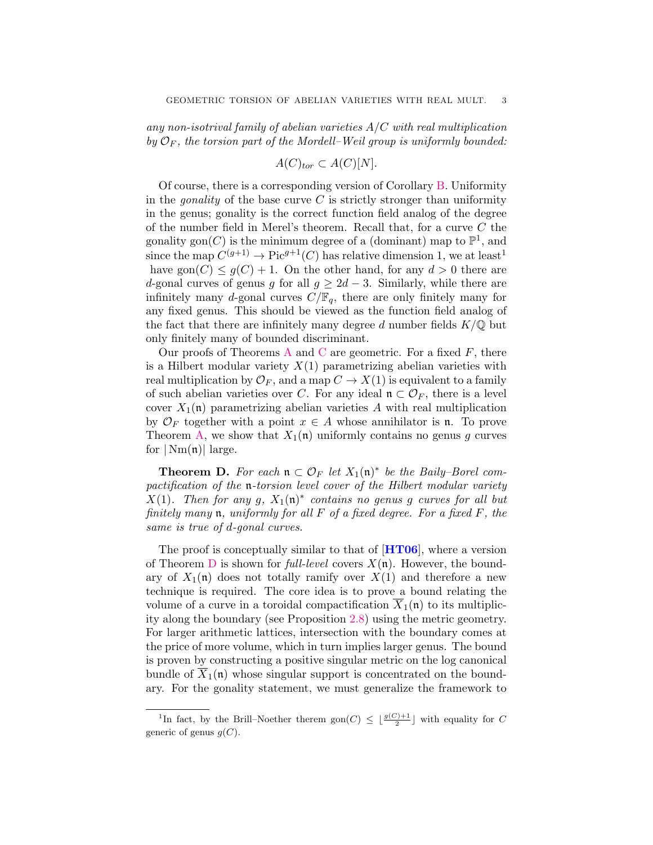any non-isotrival family of abelian varieties  $A/C$  with real multiplication by  $\mathcal{O}_F$ , the torsion part of the Mordell–Weil group is uniformly bounded:

$$
A(C)_{tor} \subset A(C)[N].
$$

Of course, there is a corresponding version of Corollary [B.](#page-1-1) Uniformity in the *gonality* of the base curve  $C$  is strictly stronger than uniformity in the genus; gonality is the correct function field analog of the degree of the number field in Merel's theorem. Recall that, for a curve  $C$  the gonality gon(C) is the minimum degree of a (dominant) map to  $\mathbb{P}^1$ , and since the map  $C^{(g+1)} \to Pic^{g+1}(C)$  has relative dimension 1, we at least<sup>1</sup> have gon $(C) \leq g(C) + 1$ . On the other hand, for any  $d > 0$  there are d-gonal curves of genus g for all  $g \geq 2d-3$ . Similarly, while there are infinitely many d-gonal curves  $C/\mathbb{F}_q$ , there are only finitely many for any fixed genus. This should be viewed as the function field analog of the fact that there are infinitely many degree d number fields  $K/\mathbb{Q}$  but only finitely many of bounded discriminant.

Our proofs of Theorems [A](#page-1-0) and [C](#page-1-2) are geometric. For a fixed  $F$ , there is a Hilbert modular variety  $X(1)$  parametrizing abelian varieties with real multiplication by  $\mathcal{O}_F$ , and a map  $C \to X(1)$  is equivalent to a family of such abelian varieties over C. For any ideal  $\mathfrak{n} \subset \mathcal{O}_F$ , there is a level cover  $X_1(\mathfrak{n})$  parametrizing abelian varieties A with real multiplication by  $\mathcal{O}_F$  together with a point  $x \in A$  whose annihilator is n. To prove Theorem [A,](#page-1-0) we show that  $X_1(\mathfrak{n})$  uniformly contains no genus g curves for  $|\text{Nm}(\mathfrak{n})|$  large.

<span id="page-2-0"></span>**Theorem D.** For each  $\mathfrak{n} \subset \mathcal{O}_F$  let  $X_1(\mathfrak{n})^*$  be the Baily-Borel compactification of the n-torsion level cover of the Hilbert modular variety  $X(1)$ . Then for any g,  $X_1(\mathfrak{n})^*$  contains no genus g curves for all but finitely many  $\mathfrak n$ , uniformly for all F of a fixed degree. For a fixed F, the same is true of d-gonal curves.

The proof is conceptually similar to that of  $[HT06]$  $[HT06]$  $[HT06]$ , where a version of Theorem [D](#page-2-0) is shown for *full-level* covers  $X(\mathfrak{n})$ . However, the boundary of  $X_1(\mathfrak{n})$  does not totally ramify over  $X(1)$  and therefore a new technique is required. The core idea is to prove a bound relating the volume of a curve in a toroidal compactification  $\overline{X}_1(\mathfrak{n})$  to its multiplicity along the boundary (see Proposition [2.8\)](#page-12-0) using the metric geometry. For larger arithmetic lattices, intersection with the boundary comes at the price of more volume, which in turn implies larger genus. The bound is proven by constructing a positive singular metric on the log canonical bundle of  $\overline{X}_1(\mathfrak{n})$  whose singular support is concentrated on the boundary. For the gonality statement, we must generalize the framework to

<sup>&</sup>lt;sup>1</sup>In fact, by the Brill–Noether therem  $\text{gon}(C) \leq \lfloor \frac{g(C)+1}{2} \rfloor$  with equality for C generic of genus  $g(C)$ .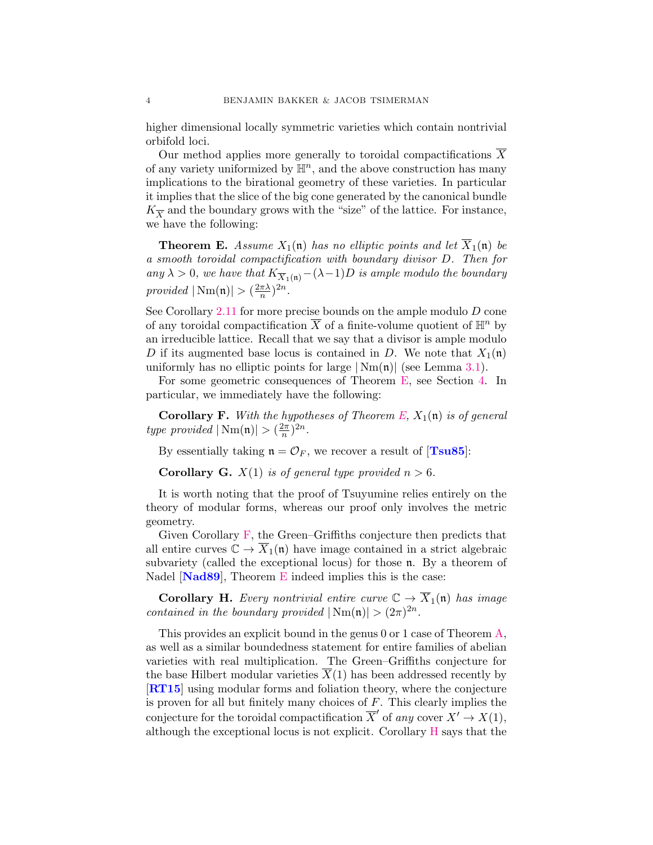higher dimensional locally symmetric varieties which contain nontrivial orbifold loci.

Our method applies more generally to toroidal compactifications X of any variety uniformized by  $\mathbb{H}^n$ , and the above construction has many implications to the birational geometry of these varieties. In particular it implies that the slice of the big cone generated by the canonical bundle  $K_{\overline{X}}$  and the boundary grows with the "size" of the lattice. For instance, we have the following:

<span id="page-3-0"></span>**Theorem E.** Assume  $X_1(\mathfrak{n})$  has no elliptic points and let  $\overline{X}_1(\mathfrak{n})$  be a smooth toroidal compactification with boundary divisor D. Then for any  $\lambda > 0$ , we have that  $K_{\overline{X}_1(\mathfrak{n})}-(\lambda-1)D$  is ample modulo the boundary provided  $|\text{Nm}(\mathfrak{n})| > (\frac{2\pi\lambda}{n})$  $(\frac{\pi\lambda}{n})^{2n}.$ 

See Corollary  $2.11$  for more precise bounds on the ample modulo  $D$  cone of any toroidal compactification  $\overline{X}$  of a finite-volume quotient of  $\mathbb{H}^n$  by an irreducible lattice. Recall that we say that a divisor is ample modulo D if its augmented base locus is contained in D. We note that  $X_1(\mathfrak{n})$ uniformly has no elliptic points for large  $|\text{Nm}(\mathfrak{n})|$  (see Lemma [3.1\)](#page-15-0).

For some geometric consequences of Theorem [E,](#page-3-0) see Section [4.](#page-20-0) In particular, we immediately have the following:

<span id="page-3-1"></span>**Corollary F.** With the hypotheses of Theorem [E,](#page-3-0)  $X_1(\mathfrak{n})$  is of general type provided  $|\text{Nm}(\mathfrak{n})| > (\frac{2\pi}{n})$  $\frac{2\pi}{n}$ )<sup>2n</sup>.

By essentially taking  $\mathfrak{n} = \mathcal{O}_F$ , we recover a result of [[Tsu85](#page-30-4)]:

<span id="page-3-3"></span>**Corollary G.**  $X(1)$  is of general type provided  $n > 6$ .

It is worth noting that the proof of Tsuyumine relies entirely on the theory of modular forms, whereas our proof only involves the metric geometry.

Given Corollary [F,](#page-3-1) the Green–Griffiths conjecture then predicts that all entire curves  $\mathbb{C} \to \overline{X}_1(\mathfrak{n})$  have image contained in a strict algebraic subvariety (called the exceptional locus) for those n. By a theorem of Nadel [[Nad89](#page-30-5)], Theorem [E](#page-3-0) indeed implies this is the case:

<span id="page-3-2"></span>**Corollary H.** Every nontrivial entire curve  $\mathbb{C} \to \overline{X}_1(\mathfrak{n})$  has image contained in the boundary provided  $|\text{Nm}(\mathfrak{n})| > (2\pi)^{2n}$ .

This provides an explicit bound in the genus 0 or 1 case of Theorem [A,](#page-1-0) as well as a similar boundedness statement for entire families of abelian varieties with real multiplication. The Green–Griffiths conjecture for the base Hilbert modular varieties  $\overline{X}(1)$  has been addressed recently by [[RT15](#page-30-6)] using modular forms and foliation theory, where the conjecture is proven for all but finitely many choices of  $F$ . This clearly implies the conjecture for the toroidal compactification  $\overline{X}'$  of any cover  $X' \to X(1)$ , although the exceptional locus is not explicit. Corollary [H](#page-3-2) says that the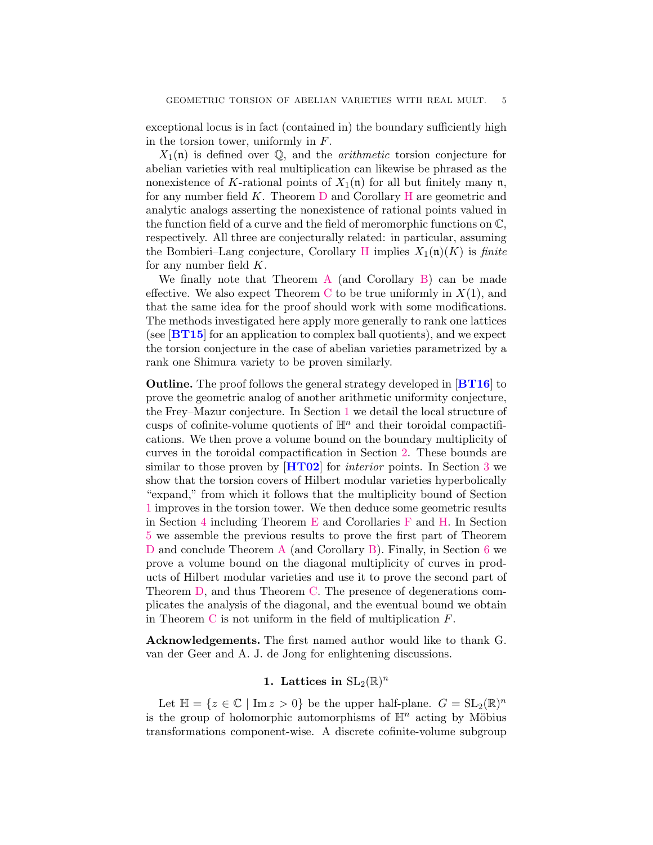exceptional locus is in fact (contained in) the boundary sufficiently high in the torsion tower, uniformly in  $F$ .

 $X_1(\mathfrak{n})$  is defined over  $\mathbb Q$ , and the *arithmetic* torsion conjecture for abelian varieties with real multiplication can likewise be phrased as the nonexistence of K-rational points of  $X_1(\mathfrak{n})$  for all but finitely many  $\mathfrak{n}$ , for any number field K. Theorem [D](#page-2-0) and Corollary [H](#page-3-2) are geometric and analytic analogs asserting the nonexistence of rational points valued in the function field of a curve and the field of meromorphic functions on C, respectively. All three are conjecturally related: in particular, assuming the Bombieri–Lang conjecture, Corollary [H](#page-3-2) implies  $X_1(\mathfrak{n})(K)$  is finite for any number field  $K$ .

We finally note that Theorem [A](#page-1-0) (and Corollary [B\)](#page-1-1) can be made effective. We also expect Theorem [C](#page-1-2) to be true uniformly in  $X(1)$ , and that the same idea for the proof should work with some modifications. The methods investigated here apply more generally to rank one lattices (see  $[\text{BT15}]$  $[\text{BT15}]$  $[\text{BT15}]$  for an application to complex ball quotients), and we expect the torsion conjecture in the case of abelian varieties parametrized by a rank one Shimura variety to be proven similarly.

Outline. The proof follows the general strategy developed in [[BT16](#page-29-3)] to prove the geometric analog of another arithmetic uniformity conjecture, the Frey–Mazur conjecture. In Section [1](#page-4-0) we detail the local structure of cusps of cofinite-volume quotients of  $\mathbb{H}^n$  and their toroidal compactifications. We then prove a volume bound on the boundary multiplicity of curves in the toroidal compactification in Section [2.](#page-8-0) These bounds are similar to those proven by  $[\text{HT}02]$  for *interior* points. In Section [3](#page-14-0) we show that the torsion covers of Hilbert modular varieties hyperbolically "expand," from which it follows that the multiplicity bound of Section [1](#page-4-0) improves in the torsion tower. We then deduce some geometric results in Section [4](#page-20-0) including Theorem [E](#page-3-0) and Corollaries [F](#page-3-1) and [H.](#page-3-2) In Section [5](#page-22-0) we assemble the previous results to prove the first part of Theorem [D](#page-2-0) and conclude Theorem [A](#page-1-0) (and Corollary [B\)](#page-1-1). Finally, in Section [6](#page-24-0) we prove a volume bound on the diagonal multiplicity of curves in products of Hilbert modular varieties and use it to prove the second part of Theorem [D,](#page-2-0) and thus Theorem [C.](#page-1-2) The presence of degenerations complicates the analysis of the diagonal, and the eventual bound we obtain in Theorem  $C$  is not uniform in the field of multiplication  $F$ .

Acknowledgements. The first named author would like to thank G. van der Geer and A. J. de Jong for enlightening discussions.

# 1. Lattices in  $\mathrm{SL}_2(\mathbb{R})^n$

<span id="page-4-0"></span>Let  $\mathbb{H} = \{z \in \mathbb{C} \mid \text{Im } z > 0\}$  be the upper half-plane.  $G = SL_2(\mathbb{R})^n$ is the group of holomorphic automorphisms of  $\mathbb{H}^n$  acting by Möbius transformations component-wise. A discrete cofinite-volume subgroup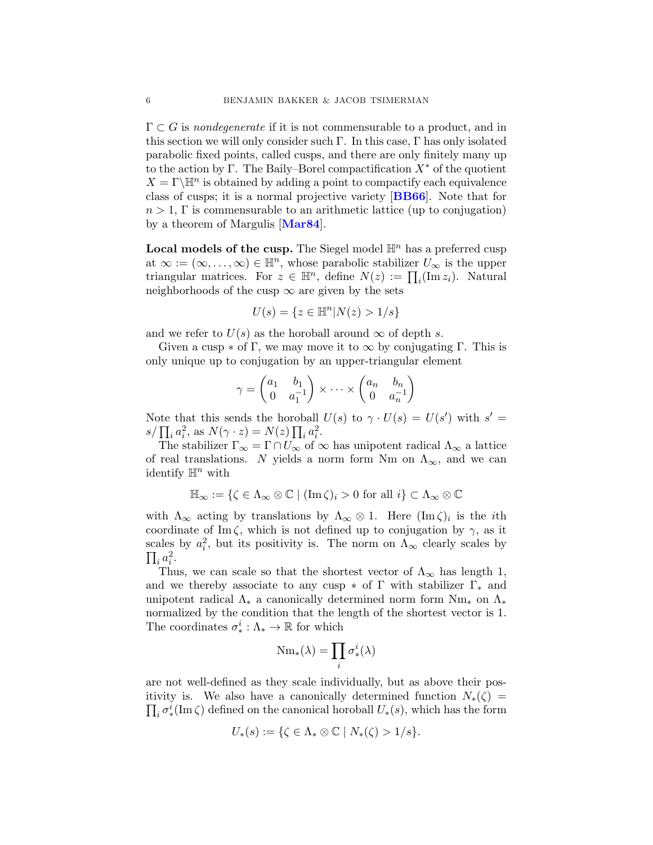$\Gamma \subset G$  is *nondegenerate* if it is not commensurable to a product, and in this section we will only consider such  $\Gamma$ . In this case,  $\Gamma$  has only isolated parabolic fixed points, called cusps, and there are only finitely many up to the action by Γ. The Baily–Borel compactification  $X^*$  of the quotient  $X = \Gamma \backslash \mathbb{H}^n$  is obtained by adding a point to compactify each equivalence class of cusps; it is a normal projective variety [[BB66](#page-29-5)]. Note that for  $n > 1$ , Γ is commensurable to an arithmetic lattice (up to conjugation) by a theorem of Margulis [[Mar84](#page-30-7)].

**Local models of the cusp.** The Siegel model  $\mathbb{H}^n$  has a preferred cusp at  $\infty := (\infty, \ldots, \infty) \in \mathbb{H}^n$ , whose parabolic stabilizer  $U_{\infty}$  is the upper triangular matrices. For  $z \in \mathbb{H}^n$ , define  $N(z) := \prod_i (\text{Im } z_i)$ . Natural neighborhoods of the cusp  $\infty$  are given by the sets

$$
U(s) = \{ z \in \mathbb{H}^n | N(z) > 1/s \}
$$

and we refer to  $U(s)$  as the horoball around  $\infty$  of depth s.

Given a cusp  $*$  of Γ, we may move it to  $\infty$  by conjugating Γ. This is only unique up to conjugation by an upper-triangular element

$$
\gamma = \begin{pmatrix} a_1 & b_1 \\ 0 & a_1^{-1} \end{pmatrix} \times \cdots \times \begin{pmatrix} a_n & b_n \\ 0 & a_n^{-1} \end{pmatrix}
$$

Note that this sends the horoball  $U(s)$  to  $\gamma \cdot U(s) = U(s')$  with  $s' =$  $s/\prod_i a_i^2$ , as  $N(\gamma \cdot z) = N(z) \prod_i a_i^2$ .

The stabilizer  $\Gamma_{\infty} = \Gamma \cap U_{\infty}$  of  $\infty$  has unipotent radical  $\Lambda_{\infty}$  a lattice of real translations. N yields a norm form Nm on  $\Lambda_{\infty}$ , and we can identify  $\mathbb{H}^n$  with

$$
\mathbb{H}_{\infty} := \{ \zeta \in \Lambda_{\infty} \otimes \mathbb{C} \mid (\operatorname{Im} \zeta)_{i} > 0 \text{ for all } i \} \subset \Lambda_{\infty} \otimes \mathbb{C}
$$

with  $\Lambda_{\infty}$  acting by translations by  $\Lambda_{\infty} \otimes 1$ . Here  $(\text{Im }\zeta)_i$  is the *i*th coordinate of Im  $\zeta$ , which is not defined up to conjugation by  $\gamma$ , as it scales by  $a_i^2$ , but its positivity is. The norm on  $\Lambda_\infty$  clearly scales by  $\prod_i a_i^2$ .

Thus, we can scale so that the shortest vector of  $\Lambda_{\infty}$  has length 1, and we thereby associate to any cusp  $*$  of  $\Gamma$  with stabilizer  $\Gamma_*$  and unipotent radical  $\Lambda_*$  a canonically determined norm form  $Nm_*$  on  $\Lambda_*$ normalized by the condition that the length of the shortest vector is 1. The coordinates  $\sigma^i_*:\Lambda_*\to\mathbb{R}$  for which

$$
\mathrm{Nm}_*(\lambda)=\prod_i \sigma^i_*(\lambda)
$$

are not well-defined as they scale individually, but as above their positivity is. We also have a canonically determined function  $N_*(\zeta) =$  $\prod_i \sigma^i_*(\text{Im }\zeta)$  defined on the canonical horoball  $U_*(s)$ , which has the form

$$
U_*(s) := \{ \zeta \in \Lambda_* \otimes \mathbb{C} \mid N_*(\zeta) > 1/s \}.
$$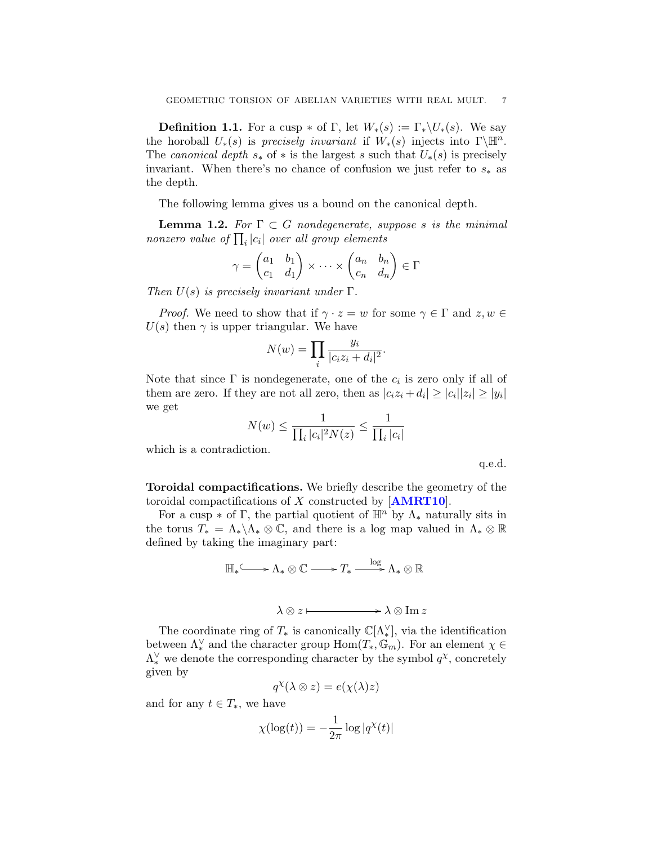**Definition 1.1.** For a cusp  $*$  of  $\Gamma$ , let  $W_*(s) := \Gamma_* \backslash U_*(s)$ . We say the horoball  $U_*(s)$  is precisely invariant if  $W_*(s)$  injects into  $\Gamma\backslash\mathbb{H}^n$ . The canonical depth  $s_*$  of  $*$  is the largest s such that  $U_*(s)$  is precisely invariant. When there's no chance of confusion we just refer to  $s_*$  as the depth.

The following lemma gives us a bound on the canonical depth.

**Lemma 1.2.** For  $\Gamma \subset G$  nondegenerate, suppose s is the minimal nonzero value of  $\prod_i |c_i|$  over all group elements

$$
\gamma = \begin{pmatrix} a_1 & b_1 \\ c_1 & d_1 \end{pmatrix} \times \cdots \times \begin{pmatrix} a_n & b_n \\ c_n & d_n \end{pmatrix} \in \Gamma
$$

Then  $U(s)$  is precisely invariant under  $\Gamma$ .

*Proof.* We need to show that if  $\gamma \cdot z = w$  for some  $\gamma \in \Gamma$  and  $z, w \in \Gamma$  $U(s)$  then  $\gamma$  is upper triangular. We have

$$
N(w) = \prod_{i} \frac{y_i}{|c_i z_i + d_i|^2}.
$$

Note that since  $\Gamma$  is nondegenerate, one of the  $c_i$  is zero only if all of them are zero. If they are not all zero, then as  $|c_i z_i + d_i| \geq |c_i||z_i| \geq |y_i|$ we get

$$
N(w) \le \frac{1}{\prod_i |c_i|^2 N(z)} \le \frac{1}{\prod_i |c_i|}
$$

which is a contradiction.

q.e.d.

Toroidal compactifications. We briefly describe the geometry of the toroidal compactifications of X constructed by  $[AMRT10]$  $[AMRT10]$  $[AMRT10]$ .

For a cusp  $*$  of Γ, the partial quotient of  $\mathbb{H}^n$  by  $\Lambda_*$  naturally sits in the torus  $T_* = \Lambda_* \backslash \Lambda_* \otimes \mathbb{C}$ , and there is a log map valued in  $\Lambda_* \otimes \mathbb{R}$ defined by taking the imaginary part:

$$
\mathbb{H}_{*} \longrightarrow \Lambda_{*} \otimes \mathbb{C} \longrightarrow T_{*} \xrightarrow{\log} \Lambda_{*} \otimes \mathbb{R}
$$

$$
\lambda \otimes z \vdash \longrightarrow \lambda \otimes \text{Im } z
$$

The coordinate ring of  $T_*$  is canonically  $\mathbb{C}[\Lambda_*^{\vee}]$ , via the identification between  $\Lambda^{\vee}_*$  and the character group  $\text{Hom}(T_*,\mathbb{G}_m)$ . For an element  $\chi \in$  $\Lambda^{\vee}_*$  we denote the corresponding character by the symbol  $q^{\chi}$ , concretely given by

$$
q^\chi(\lambda\otimes z)=e(\chi(\lambda)z)
$$

and for any  $t \in T_*$ , we have

$$
\chi(\log(t)) = -\frac{1}{2\pi} \log|q^{\chi}(t)|
$$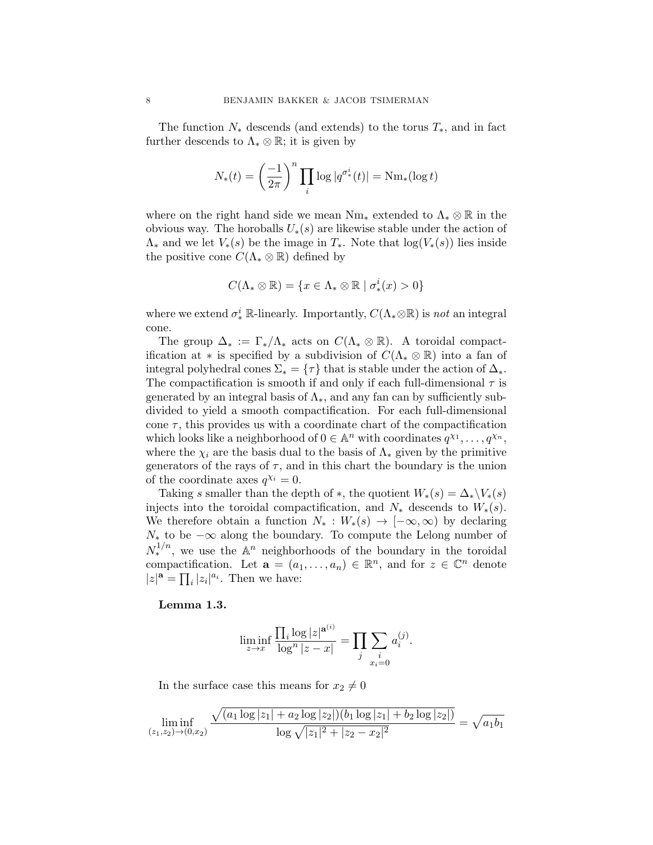The function  $N_*$  descends (and extends) to the torus  $T_*$ , and in fact further descends to  $\Lambda_* \otimes \mathbb{R}$ ; it is given by

$$
N_*(t) = \left(\frac{-1}{2\pi}\right)^n \prod_i \log|q^{\sigma^i_*}(t)| = \mathrm{Nm}_*(\log t)
$$

where on the right hand side we mean  $Nm_*$  extended to  $\Lambda_* \otimes \mathbb{R}$  in the obvious way. The horoballs  $U_*(s)$  are likewise stable under the action of  $\Lambda_*$  and we let  $V_*(s)$  be the image in  $T_*$ . Note that  $\log(V_*(s))$  lies inside the positive cone  $C(\Lambda_* \otimes \mathbb{R})$  defined by

$$
C(\Lambda_* \otimes \mathbb{R}) = \{x \in \Lambda_* \otimes \mathbb{R} \mid \sigma_*^i(x) > 0\}
$$

where we extend  $\sigma^i_*$  R-linearly. Importantly,  $C(\Lambda_* \otimes \mathbb{R})$  is *not* an integral cone.

The group  $\Delta_* := \Gamma_*/\Lambda_*$  acts on  $C(\Lambda_* \otimes \mathbb{R})$ . A toroidal compactification at  $*$  is specified by a subdivision of  $C(\Lambda_* \otimes \mathbb{R})$  into a fan of integral polyhedral cones  $\Sigma_* = \{\tau\}$  that is stable under the action of  $\Delta_*$ . The compactification is smooth if and only if each full-dimensional  $\tau$  is generated by an integral basis of  $\Lambda_{*}$ , and any fan can by sufficiently subdivided to yield a smooth compactification. For each full-dimensional cone  $\tau$ , this provides us with a coordinate chart of the compactification which looks like a neighborhood of  $0 \in \mathbb{A}^n$  with coordinates  $q^{\chi_1}, \ldots, q^{\chi_n}$ , where the  $\chi_i$  are the basis dual to the basis of  $\Lambda_*$  given by the primitive generators of the rays of  $\tau$ , and in this chart the boundary is the union of the coordinate axes  $q^{\chi_i} = 0$ .

Taking s smaller than the depth of  $\ast$ , the quotient  $W_*(s) = \Delta_* \backslash V_*(s)$ injects into the toroidal compactification, and  $N_*$  descends to  $W_*(s)$ . We therefore obtain a function  $N_* : W_*(s) \to [-\infty, \infty)$  by declaring  $N_*$  to be  $-\infty$  along the boundary. To compute the Lelong number of  $N_*^{1/n}$ , we use the  $\mathbb{A}^n$  neighborhoods of the boundary in the toroidal compactification. Let  $\mathbf{a} = (a_1, \ldots, a_n) \in \mathbb{R}^n$ , and for  $z \in \mathbb{C}^n$  denote  $|z|^{\mathbf{a}} = \prod_i |z_i|^{a_i}$ . Then we have:

# Lemma 1.3.

$$
\liminf_{z \to x} \frac{\prod_{i} \log |z|^{\mathbf{a}^{(i)}}}{\log^{n} |z - x|} = \prod_{j} \sum_{\substack{i \\ x_i = 0}} a_i^{(j)}.
$$

In the surface case this means for  $x_2 \neq 0$ 

$$
\liminf_{(z_1,z_2)\to(0,x_2)}\frac{\sqrt{(a_1\log|z_1|+a_2\log|z_2|)(b_1\log|z_1|+b_2\log|z_2|)}}{\log\sqrt{|z_1|^2+|z_2-x_2|^2}}=\sqrt{a_1b_1}
$$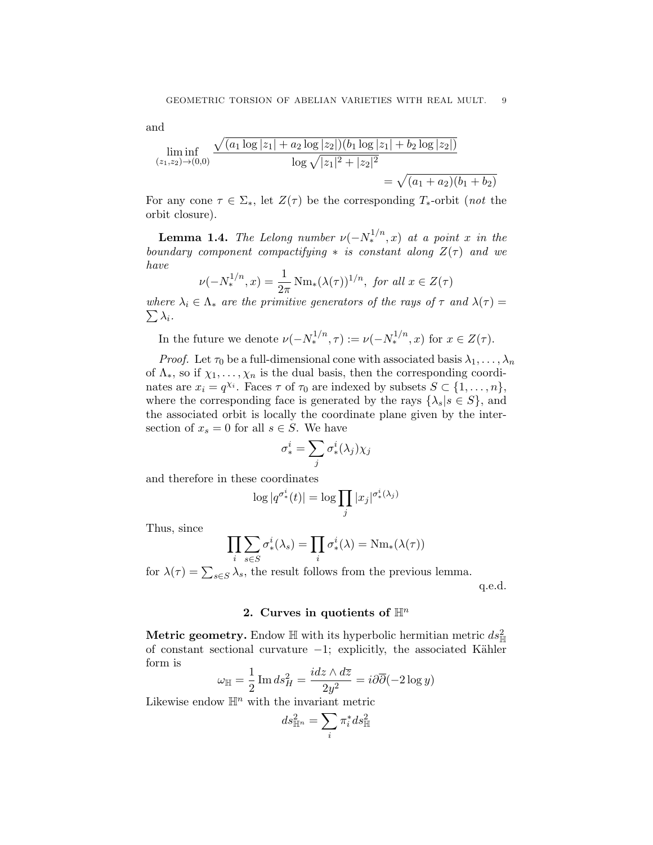and

$$
\liminf_{(z_1,z_2)\to(0,0)} \frac{\sqrt{(a_1\log|z_1|+a_2\log|z_2|)(b_1\log|z_1|+b_2\log|z_2|)}}{\log\sqrt{|z_1|^2+|z_2|^2}} = \sqrt{(a_1+a_2)(b_1+b_2)}
$$

For any cone  $\tau \in \Sigma_*$ , let  $Z(\tau)$  be the corresponding  $T_*$ -orbit (not the orbit closure).

<span id="page-8-1"></span>**Lemma 1.4.** The Lelong number  $\nu(-N_*^{1/n},x)$  at a point x in the boundary component compactifying  $*$  is constant along  $Z(\tau)$  and we have

$$
\nu(-N_*^{1/n}, x) = \frac{1}{2\pi} \operatorname{Nm}_*(\lambda(\tau))^{1/n}, \text{ for all } x \in Z(\tau)
$$

where  $\lambda_i \in \Lambda_*$  are the primitive generators of the rays of  $\tau$  and  $\lambda(\tau) =$  $\sum \lambda_i$  .

In the future we denote  $\nu(-N_*^{1/n}, \tau) := \nu(-N_*^{1/n}, x)$  for  $x \in Z(\tau)$ .

*Proof.* Let  $\tau_0$  be a full-dimensional cone with associated basis  $\lambda_1, \ldots, \lambda_n$ of  $\Lambda_*$ , so if  $\chi_1, \ldots, \chi_n$  is the dual basis, then the corresponding coordinates are  $x_i = q^{\chi_i}$ . Faces  $\tau$  of  $\tau_0$  are indexed by subsets  $S \subset \{1, \ldots, n\}$ , where the corresponding face is generated by the rays  $\{\lambda_s | s \in S\}$ , and the associated orbit is locally the coordinate plane given by the intersection of  $x_s = 0$  for all  $s \in S$ . We have

$$
\sigma_*^i = \sum_j \sigma_*^i(\lambda_j) \chi_j
$$

and therefore in these coordinates

$$
\log|q^{\sigma^i_*}(t)| = \log \prod_j |x_j|^{\sigma^i_*(\lambda_j)}
$$

Thus, since

$$
\prod_{i} \sum_{s \in S} \sigma^i_*(\lambda_s) = \prod_{i} \sigma^i_*(\lambda) = \text{Nm}_*(\lambda(\tau))
$$

for  $\lambda(\tau) = \sum_{s \in S} \lambda_s$ , the result follows from the previous lemma.

q.e.d.

# 2. Curves in quotients of  $\mathbb{H}^n$

<span id="page-8-0"></span>Metric geometry. Endow  $\mathbb H$  with its hyperbolic hermitian metric  $ds_{\mathbb H}^2$ of constant sectional curvature  $-1$ ; explicitly, the associated Kähler form is

$$
\omega_{\mathbb{H}} = \frac{1}{2} \operatorname{Im} ds_H^2 = \frac{i dz \wedge d\overline{z}}{2y^2} = i \partial \overline{\partial} (-2 \log y)
$$

Likewise endow  $\mathbb{H}^n$  with the invariant metric

$$
ds_{\mathbb{H}^n}^2 = \sum_i \pi_i^* ds_{\mathbb{H}}^2
$$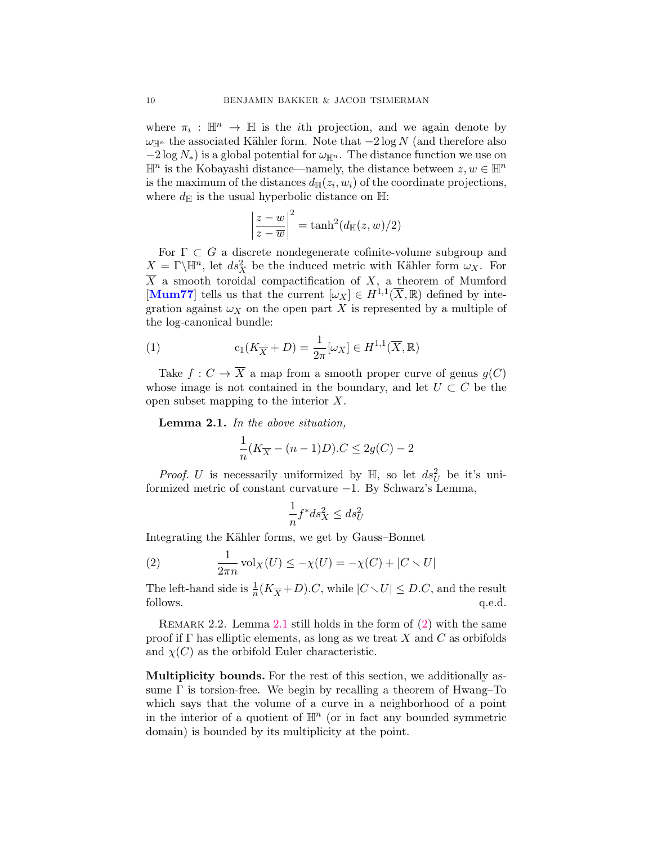where  $\pi_i : \mathbb{H}^n \to \mathbb{H}$  is the *i*th projection, and we again denote by  $\omega_{\mathbb{H}^n}$  the associated Kähler form. Note that  $-2 \log N$  (and therefore also  $-2 \log N_*$ ) is a global potential for  $\omega_{\mathbb{H}^n}$ . The distance function we use on  $\mathbb{H}^n$  is the Kobayashi distance—namely, the distance between  $z, w \in \mathbb{H}^n$ is the maximum of the distances  $d_{\mathbb{H}}(z_i, w_i)$  of the coordinate projections, where  $d_{\mathbb{H}}$  is the usual hyperbolic distance on  $\mathbb{H}$ :

$$
\left|\frac{z-w}{z-\overline{w}}\right|^2 = \tanh^2(d_{\mathbb{H}}(z,w)/2)
$$

For  $\Gamma \subset G$  a discrete nondegenerate cofinite-volume subgroup and  $X = \Gamma \backslash \mathbb{H}^n$ , let  $ds_X^2$  be the induced metric with Kähler form  $\omega_X$ . For  $\overline{X}$  a smooth toroidal compactification of X, a theorem of Mumford [[Mum77](#page-30-8)] tells us that the current  $[\omega_X] \in H^{1,1}(\overline{X}, \mathbb{R})$  defined by integration against  $\omega_X$  on the open part X is represented by a multiple of the log-canonical bundle:

<span id="page-9-2"></span>(1) 
$$
c_1(K_{\overline{X}} + D) = \frac{1}{2\pi} [\omega_X] \in H^{1,1}(\overline{X}, \mathbb{R})
$$

Take  $f: C \to \overline{X}$  a map from a smooth proper curve of genus  $g(C)$ whose image is not contained in the boundary, and let  $U \subset C$  be the open subset mapping to the interior X.

<span id="page-9-0"></span>Lemma 2.1. In the above situation,

$$
\frac{1}{n}(K_{\overline{X}} - (n-1)D).C \le 2g(C) - 2
$$

*Proof.* U is necessarily uniformized by  $\mathbb{H}$ , so let  $ds_U^2$  be it's uniformized metric of constant curvature −1. By Schwarz's Lemma,

$$
\frac{1}{n}f^*ds_X^2 \le ds_U^2
$$

Integrating the Kähler forms, we get by Gauss–Bonnet

<span id="page-9-1"></span>(2) 
$$
\frac{1}{2\pi n} \operatorname{vol}_X(U) \le -\chi(U) = -\chi(C) + |C \setminus U|
$$

The left-hand side is  $\frac{1}{n}(K_{\overline{X}}+D)$ .C, while  $|C\setminus U|\leq D$ .C, and the result follows.  $q.e.d.$ 

<span id="page-9-3"></span>REMARK 2.2. Lemma [2.1](#page-9-0) still holds in the form of  $(2)$  with the same proof if  $\Gamma$  has elliptic elements, as long as we treat X and C as orbifolds and  $\chi(C)$  as the orbifold Euler characteristic.

Multiplicity bounds. For the rest of this section, we additionally assume  $\Gamma$  is torsion-free. We begin by recalling a theorem of Hwang–To which says that the volume of a curve in a neighborhood of a point in the interior of a quotient of  $\mathbb{H}^n$  (or in fact any bounded symmetric domain) is bounded by its multiplicity at the point.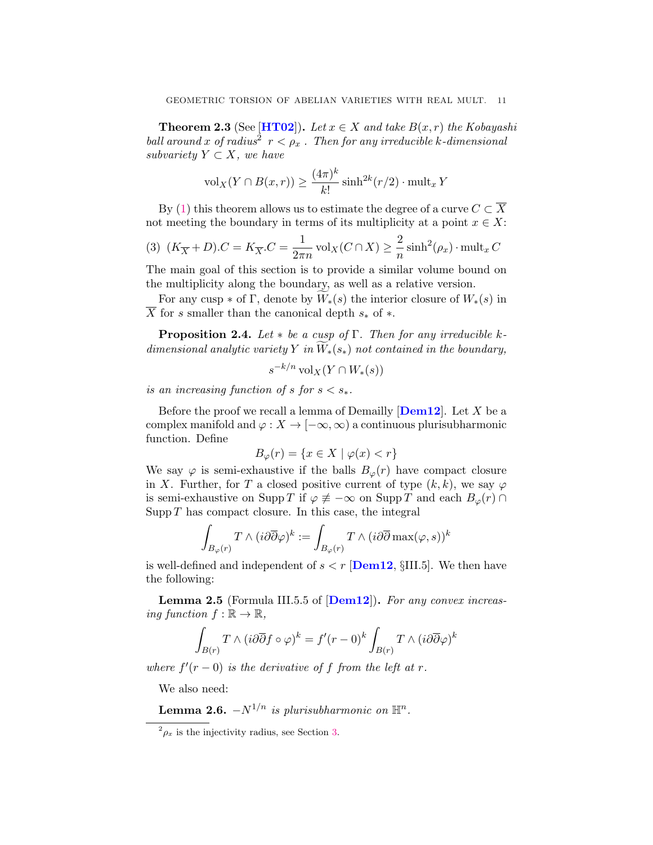<span id="page-10-1"></span>**Theorem 2.3** (See [[HT02](#page-29-4)]). Let  $x \in X$  and take  $B(x, r)$  the Kobayashi ball around x of radius<sup>2</sup>  $r < \rho_x$ . Then for any irreducible k-dimensional subvariety  $Y \subset X$ , we have

$$
\mathrm{vol}_X(Y \cap B(x,r)) \ge \frac{(4\pi)^k}{k!} \sinh^{2k}(r/2) \cdot \mathrm{mult}_x Y
$$

By [\(1\)](#page-9-2) this theorem allows us to estimate the degree of a curve  $C \subset \overline{X}$ not meeting the boundary in terms of its multiplicity at a point  $x \in X$ :

<span id="page-10-2"></span>(3) 
$$
(K_{\overline{X}}+D).C = K_{\overline{X}}.C = \frac{1}{2\pi n} \operatorname{vol}_X(C \cap X) \ge \frac{2}{n} \sinh^2(\rho_x) \cdot \operatorname{mult}_x C
$$

The main goal of this section is to provide a similar volume bound on the multiplicity along the boundary, as well as a relative version.

For any cusp  $*$  of Γ, denote by  $W_*(s)$  the interior closure of  $W_*(s)$  in  $\overline{X}$  for s smaller than the canonical depth  $s_*$  of  $*$ .

<span id="page-10-0"></span>**Proposition 2.4.** Let  $*$  be a cusp of  $\Gamma$ . Then for any irreducible kdimensional analytic variety Y in  $\overline{W}_*(s_*)$  not contained in the boundary,

$$
s^{-k/n} \operatorname{vol}_X(Y \cap W_*(s))
$$

is an increasing function of s for  $s < s_*$ .

Before the proof we recall a lemma of Demailly  $\mathbf{[Dem12]}$  $\mathbf{[Dem12]}$  $\mathbf{[Dem12]}$ . Let X be a complex manifold and  $\varphi: X \to [-\infty, \infty)$  a continuous plurisubharmonic function. Define

$$
B_{\varphi}(r) = \{ x \in X \mid \varphi(x) < r \}
$$

We say  $\varphi$  is semi-exhaustive if the balls  $B_{\varphi}(r)$  have compact closure in X. Further, for T a closed positive current of type  $(k, k)$ , we say  $\varphi$ is semi-exhaustive on Supp T if  $\varphi \neq -\infty$  on Supp T and each  $B_{\varphi}(r) \cap$  $\text{Supp } T$  has compact closure. In this case, the integral

$$
\int_{B_{\varphi}(r)} T \wedge (i \partial \overline{\partial} \varphi)^k := \int_{B_{\varphi}(r)} T \wedge (i \partial \overline{\partial} \max(\varphi, s))^k
$$

is well-defined and independent of  $s < r$  [[Dem12](#page-29-7), §III.5]. We then have the following:

**Lemma 2.5** (Formula III.5.5 of  $\text{[Dem12]}$  $\text{[Dem12]}$  $\text{[Dem12]}$ ). For any convex increasing function  $f : \mathbb{R} \to \mathbb{R}$ ,

$$
\int_{B(r)} T \wedge (i \partial \overline{\partial} f \circ \varphi)^k = f'(r-0)^k \int_{B(r)} T \wedge (i \partial \overline{\partial} \varphi)^k
$$

where  $f'(r-0)$  is the derivative of f from the left at r.

We also need:

**Lemma 2.6.**  $-N^{1/n}$  is plurisubharmonic on  $\mathbb{H}^n$ .

 $^{2}\rho_{x}$  is the injectivity radius, see Section [3.](#page-14-0)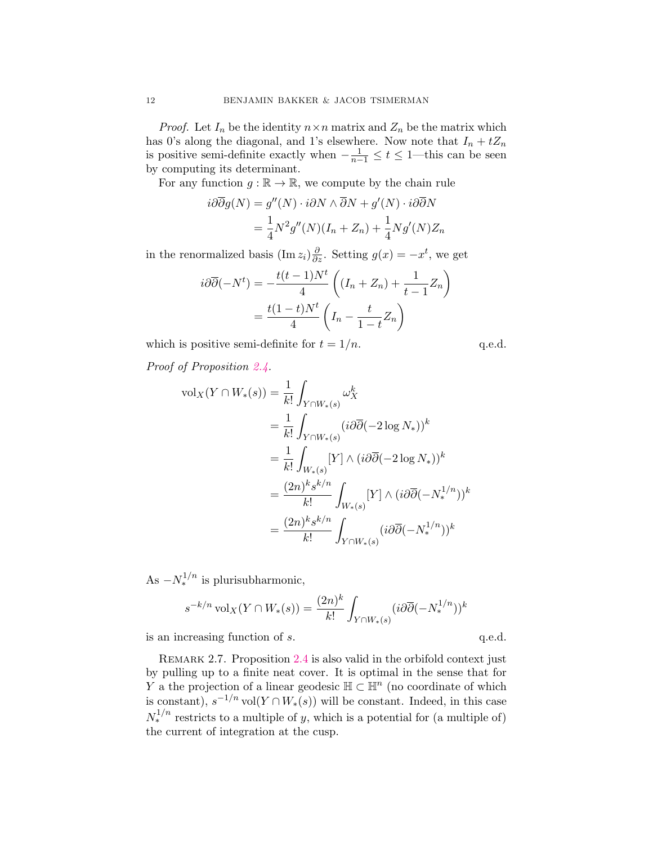*Proof.* Let  $I_n$  be the identity  $n \times n$  matrix and  $Z_n$  be the matrix which has 0's along the diagonal, and 1's elsewhere. Now note that  $I_n + tZ_n$ is positive semi-definite exactly when  $-\frac{1}{n-1} \leq t \leq 1$ —this can be seen by computing its determinant.

For any function  $g : \mathbb{R} \to \mathbb{R}$ , we compute by the chain rule

$$
i\partial\overline{\partial}g(N) = g''(N) \cdot i\partial N \wedge \overline{\partial}N + g'(N) \cdot i\partial\overline{\partial}N
$$

$$
= \frac{1}{4}N^2g''(N)(I_n + Z_n) + \frac{1}{4}Ng'(N)Z_n
$$

in the renormalized basis  $(\text{Im } z_i) \frac{\partial}{\partial z}$ . Setting  $g(x) = -x^t$ , we get

$$
i\partial\overline{\partial}(-N^t) = -\frac{t(t-1)N^t}{4} \left( (I_n + Z_n) + \frac{1}{t-1} Z_n \right)
$$

$$
= \frac{t(1-t)N^t}{4} \left( I_n - \frac{t}{1-t} Z_n \right)
$$

which is positive semi-definite for  $t = 1/n$ . q.e.d.

Proof of Proposition [2.4.](#page-10-0)

$$
\text{vol}_X(Y \cap W_*(s)) = \frac{1}{k!} \int_{Y \cap W_*(s)} \omega_X^k
$$
  
\n
$$
= \frac{1}{k!} \int_{Y \cap W_*(s)} (i \partial \overline{\partial} (-2 \log N_*))^k
$$
  
\n
$$
= \frac{1}{k!} \int_{W_*(s)} [Y] \wedge (i \partial \overline{\partial} (-2 \log N_*))^k
$$
  
\n
$$
= \frac{(2n)^k s^{k/n}}{k!} \int_{W_*(s)} [Y] \wedge (i \partial \overline{\partial} (-N_*)^k)^k
$$
  
\n
$$
= \frac{(2n)^k s^{k/n}}{k!} \int_{Y \cap W_*(s)} (i \partial \overline{\partial} (-N_*)^k)^k
$$

As  $-N_*^{1/n}$  is plurisubharmonic,

$$
s^{-k/n} \operatorname{vol}_X(Y \cap W_*(s)) = \frac{(2n)^k}{k!} \int_{Y \cap W_*(s)} (i \partial \overline{\partial} (-N_*^{1/n}))^k
$$

 $\alpha$  is an increasing function of s.  $\alpha$ .e.d.

<span id="page-11-0"></span>REMARK 2.7. Proposition [2.4](#page-10-0) is also valid in the orbifold context just by pulling up to a finite neat cover. It is optimal in the sense that for Y a the projection of a linear geodesic  $\mathbb{H} \subset \mathbb{H}^n$  (no coordinate of which is constant),  $s^{-1/n} \text{vol}(Y \cap W_*(s))$  will be constant. Indeed, in this case  $N_*^{1/n}$  restricts to a multiple of y, which is a potential for (a multiple of) the current of integration at the cusp.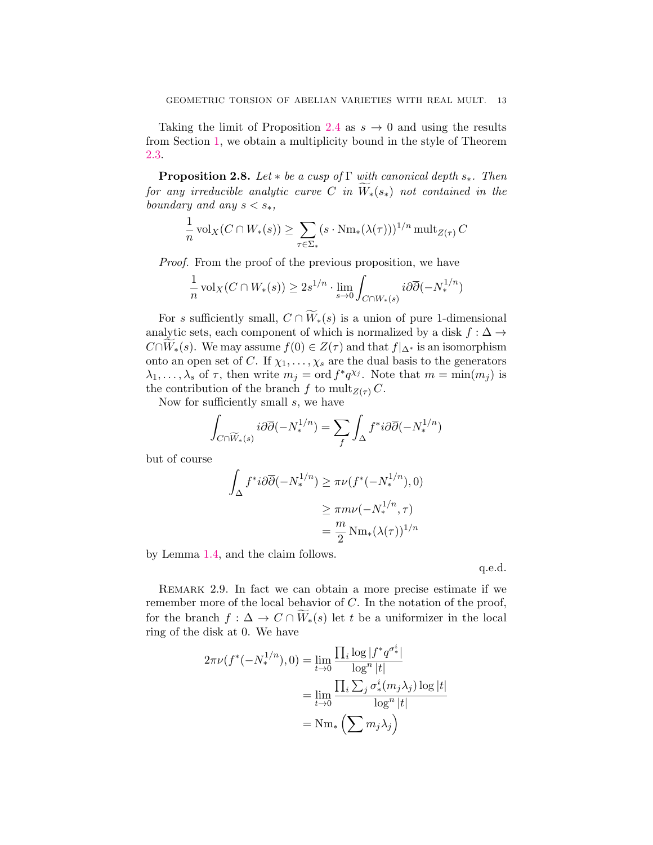Taking the limit of Proposition [2.4](#page-10-0) as  $s \to 0$  and using the results from Section [1,](#page-4-0) we obtain a multiplicity bound in the style of Theorem [2.3.](#page-10-1)

<span id="page-12-0"></span>**Proposition 2.8.** Let  $*$  be a cusp of  $\Gamma$  with canonical depth  $s_*$ . Then for any irreducible analytic curve C in  $W_*(s_*)$  not contained in the boundary and any  $s < s_*$ ,

$$
\frac{1}{n}\operatorname{vol}_X(C \cap W_*(s)) \ge \sum_{\tau \in \Sigma_*} (s \cdot \operatorname{Nm}_*(\lambda(\tau)))^{1/n} \operatorname{mult}_{Z(\tau)} C
$$

Proof. From the proof of the previous proposition, we have

$$
\frac{1}{n}\operatorname{vol}_X(C \cap W_*(s)) \ge 2s^{1/n} \cdot \lim_{s \to 0} \int_{C \cap W_*(s)} i \partial \overline{\partial} (-N_*^{1/n})
$$

For s sufficiently small,  $C \cap \widetilde{W}_*(s)$  is a union of pure 1-dimensional analytic sets, each component of which is normalized by a disk  $f:\Delta\to$  $C \cap W_*(s)$ . We may assume  $f(0) \in Z(\tau)$  and that  $f|_{\Delta^*}$  is an isomorphism onto an open set of C. If  $\chi_1, \ldots, \chi_s$  are the dual basis to the generators  $\lambda_1, \ldots, \lambda_s$  of  $\tau$ , then write  $m_j = \text{ord } f^*q^{\chi_j}$ . Note that  $m = \min(m_j)$  is the contribution of the branch f to mult<sub>Z(τ)</sub> C.

Now for sufficiently small s, we have

$$
\int_{C \cap \widetilde{W}_*(s)} i \partial \overline{\partial} (-N_*^{1/n}) = \sum_f \int_{\Delta} f^* i \partial \overline{\partial} (-N_*^{1/n})
$$

but of course

$$
\int_{\Delta} f^* i \partial \overline{\partial} (-N_*^{1/n}) \ge \pi \nu(f^*(-N_*^{1/n}), 0)
$$

$$
\ge \pi m \nu(-N_*^{1/n}, \tau)
$$

$$
= \frac{m}{2} \text{Nm}_*(\lambda(\tau))^{1/n}
$$

by Lemma [1.4,](#page-8-1) and the claim follows.

q.e.d.

<span id="page-12-1"></span>Remark 2.9. In fact we can obtain a more precise estimate if we remember more of the local behavior of  $C$ . In the notation of the proof, for the branch  $f: \Delta \to C \cap \widetilde{W}_*(s)$  let t be a uniformizer in the local ring of the disk at 0. We have

$$
2\pi\nu(f^*(-N_*^{1/n}),0) = \lim_{t\to 0} \frac{\prod_i \log |f^*q^{\sigma^i_*}|}{\log^n |t|}
$$

$$
= \lim_{t\to 0} \frac{\prod_i \sum_j \sigma^i_*(m_j\lambda_j) \log |t|}{\log^n |t|}
$$

$$
= \text{Nm}_*\left(\sum m_j\lambda_j\right)
$$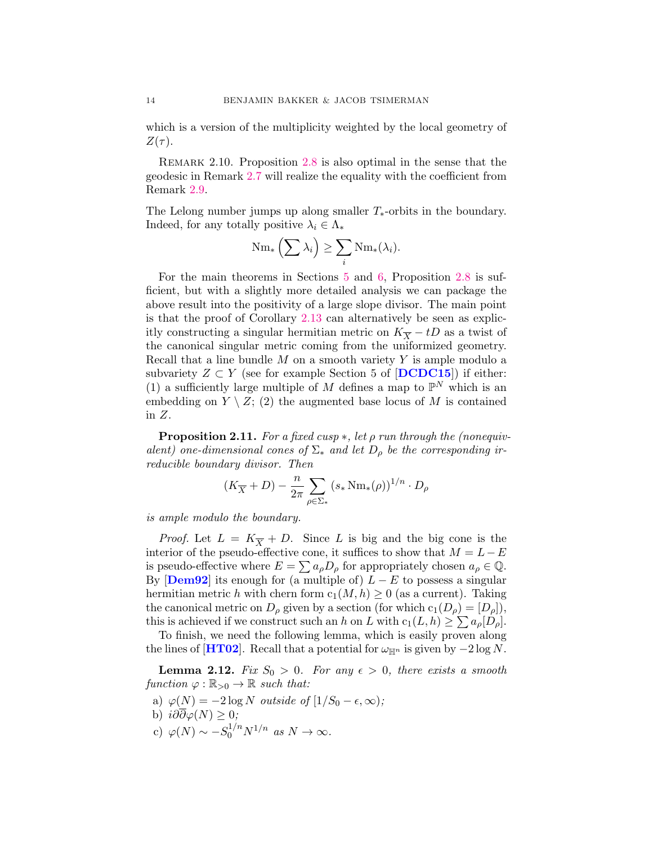which is a version of the multiplicity weighted by the local geometry of  $Z(\tau)$ .

Remark 2.10. Proposition [2.8](#page-12-0) is also optimal in the sense that the geodesic in Remark [2.7](#page-11-0) will realize the equality with the coefficient from Remark [2.9.](#page-12-1)

The Lelong number jumps up along smaller  $T_*$ -orbits in the boundary. Indeed, for any totally positive  $\lambda_i \in \Lambda_*$ 

$$
\operatorname{Nm}_*\left(\sum \lambda_i\right) \geq \sum_i \operatorname{Nm}_*(\lambda_i).
$$

For the main theorems in Sections [5](#page-22-0) and [6,](#page-24-0) Proposition [2.8](#page-12-0) is sufficient, but with a slightly more detailed analysis we can package the above result into the positivity of a large slope divisor. The main point is that the proof of Corollary [2.13](#page-14-1) can alternatively be seen as explicitly constructing a singular hermitian metric on  $K_{\overline{X}} - tD$  as a twist of the canonical singular metric coming from the uniformized geometry. Recall that a line bundle  $M$  on a smooth variety  $Y$  is ample modulo a subvariety  $Z \subset Y$  (see for example Section 5 of [[DCDC15](#page-29-8)]) if either: (1) a sufficiently large multiple of M defines a map to  $\mathbb{P}^N$  which is an embedding on  $Y \setminus Z$ ; (2) the augmented base locus of M is contained in Z.

<span id="page-13-0"></span>**Proposition 2.11.** For a fixed cusp  $*$ , let  $\rho$  run through the (nonequivalent) one-dimensional cones of  $\Sigma_*$  and let  $D_{\rho}$  be the corresponding irreducible boundary divisor. Then

$$
(K_{\overline{X}}+D)-\frac{n}{2\pi}\sum_{\rho\in \Sigma_*}\left(s_*\operatorname{Nm}_*(\rho)\right)^{1/n}\cdot D_\rho
$$

is ample modulo the boundary.

*Proof.* Let  $L = K_{\overline{X}} + D$ . Since L is big and the big cone is the interior of the pseudo-effective cone, it suffices to show that  $M = L - E$ is pseudo-effective where  $E = \sum a_{\rho} D_{\rho}$  for appropriately chosen  $a_{\rho} \in \mathbb{Q}$ . By  $\text{[Dem 92]}$  its enough for (a multiple of)  $L - E$  to possess a singular hermitian metric h with chern form  $c_1(M, h) \geq 0$  (as a current). Taking the canonical metric on  $D_\rho$  given by a section (for which  $c_1(D_\rho) = [D_\rho]$ ), this is achieved if we construct such an h on L with  $c_1(L, h) \geq \sum a_{\rho}[D_{\rho}].$ 

To finish, we need the following lemma, which is easily proven along the lines of [[HT02](#page-29-4)]. Recall that a potential for  $\omega_{\mathbb{H}^n}$  is given by  $-2 \log N$ .

**Lemma 2.12.** Fix  $S_0 > 0$ . For any  $\epsilon > 0$ , there exists a smooth function  $\varphi : \mathbb{R}_{>0} \to \mathbb{R}$  such that:

- a)  $\varphi(N) = -2 \log N$  outside of  $[1/S_0 \epsilon, \infty);$ b)  $i\partial\partial\varphi(N)\geq 0;$
- 
- c)  $\varphi(N) \sim -S_0^{1/n} N^{1/n}$  as  $N \to \infty$ .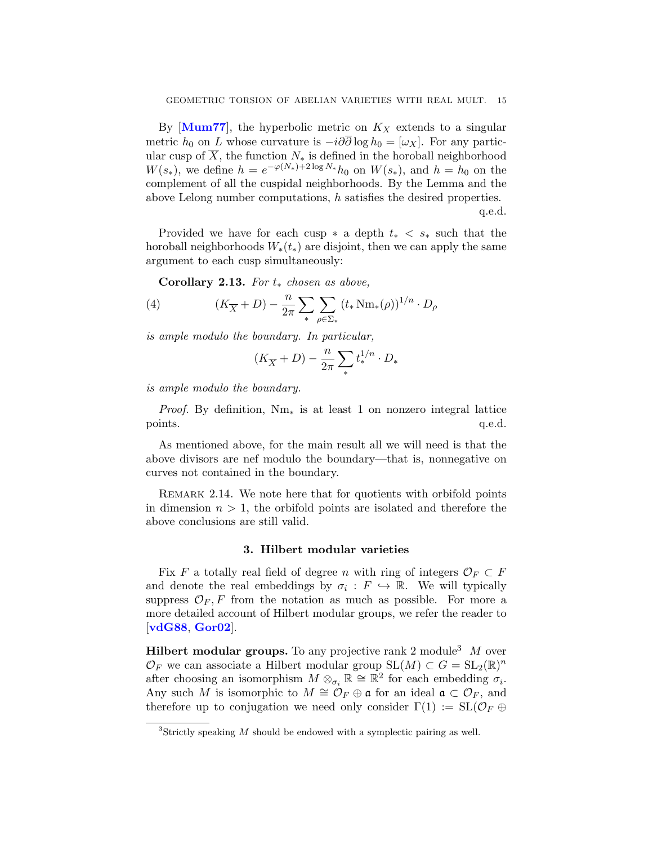By  $[Mum77]$  $[Mum77]$  $[Mum77]$ , the hyperbolic metric on  $K_X$  extends to a singular metric  $h_0$  on L whose curvature is  $-i\partial\overline{\partial}\log h_0 = [\omega_X]$ . For any particular cusp of  $\overline{X}$ , the function  $N_*$  is defined in the horoball neighborhood  $W(s_*)$ , we define  $h = e^{-\varphi(N_*)+2\log N_*} h_0$  on  $W(s_*)$ , and  $h = h_0$  on the complement of all the cuspidal neighborhoods. By the Lemma and the above Lelong number computations, h satisfies the desired properties. q.e.d.

Provided we have for each cusp  $*$  a depth  $t_* < s_*$  such that the horoball neighborhoods  $W_*(t_*)$  are disjoint, then we can apply the same argument to each cusp simultaneously:

<span id="page-14-1"></span>Corollary 2.13. For  $t_*$  chosen as above,

(4) 
$$
(K_{\overline{X}} + D) - \frac{n}{2\pi} \sum_{*} \sum_{\rho \in \Sigma_*} (t_* N m_*(\rho))^{1/n} \cdot D_{\rho}
$$

is ample modulo the boundary. In particular,

$$
(K_{\overline{X}}+D)-\frac{n}{2\pi}\sum_*t_*^{1/n}\cdot D_*
$$

is ample modulo the boundary.

*Proof.* By definition,  $Nm_*$  is at least 1 on nonzero integral lattice points.  $q.e.d.$ 

As mentioned above, for the main result all we will need is that the above divisors are nef modulo the boundary—that is, nonnegative on curves not contained in the boundary.

Remark 2.14. We note here that for quotients with orbifold points in dimension  $n > 1$ , the orbifold points are isolated and therefore the above conclusions are still valid.

#### 3. Hilbert modular varieties

<span id="page-14-0"></span>Fix F a totally real field of degree n with ring of integers  $\mathcal{O}_F \subset F$ and denote the real embeddings by  $\sigma_i : F \hookrightarrow \mathbb{R}$ . We will typically suppress  $\mathcal{O}_F$ , F from the notation as much as possible. For more a more detailed account of Hilbert modular groups, we refer the reader to [[vdG88](#page-30-9), [Gor02](#page-29-10)].

**Hilbert modular groups.** To any projective rank 2 module<sup>3</sup>  $M$  over  $\mathcal{O}_F$  we can associate a Hilbert modular group  $\mathrm{SL}(M) \subset G = \mathrm{SL}_2(\mathbb{R})^n$ after choosing an isomorphism  $M \otimes_{\sigma_i} \mathbb{R} \cong \mathbb{R}^2$  for each embedding  $\sigma_i$ . Any such M is isomorphic to  $M \cong \mathcal{O}_F \oplus \mathfrak{a}$  for an ideal  $\mathfrak{a} \subset \mathcal{O}_F$ , and therefore up to conjugation we need only consider  $\Gamma(1) := SL(\mathcal{O}_F \oplus$ 

 ${}^{3}$ Strictly speaking M should be endowed with a symplectic pairing as well.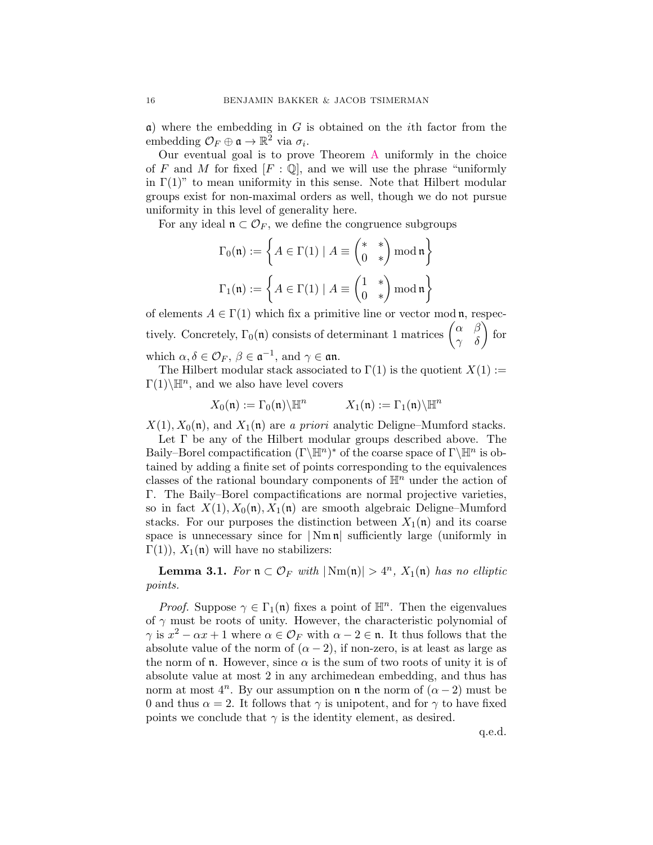$\alpha$ ) where the embedding in G is obtained on the *i*th factor from the embedding  $\mathcal{O}_F \oplus \mathfrak{a} \to \mathbb{R}^2$  via  $\sigma_i$ .

Our eventual goal is to prove Theorem [A](#page-1-0) uniformly in the choice of F and M for fixed  $[F: \mathbb{Q}]$ , and we will use the phrase "uniformly" in  $\Gamma(1)$ " to mean uniformity in this sense. Note that Hilbert modular groups exist for non-maximal orders as well, though we do not pursue uniformity in this level of generality here.

For any ideal  $\mathfrak{n} \subset \mathcal{O}_F$ , we define the congruence subgroups

$$
\Gamma_0(\mathfrak{n}) := \left\{ A \in \Gamma(1) \mid A \equiv \begin{pmatrix} * & * \\ 0 & * \end{pmatrix} \bmod \mathfrak{n} \right\}
$$

$$
\Gamma_1(\mathfrak{n}) := \left\{ A \in \Gamma(1) \mid A \equiv \begin{pmatrix} 1 & * \\ 0 & * \end{pmatrix} \bmod \mathfrak{n} \right\}
$$

of elements  $A \in \Gamma(1)$  which fix a primitive line or vector mod **n**, respectively. Concretely,  $\Gamma_0(\mathfrak{n})$  consists of determinant 1 matrices  $\begin{pmatrix} \alpha & \beta \\ \gamma & \delta \end{pmatrix}$  for which  $\alpha, \delta \in \mathcal{O}_F$ ,  $\beta \in \mathfrak{a}^{-1}$ , and  $\gamma \in \mathfrak{a}$ n.

The Hilbert modular stack associated to  $\Gamma(1)$  is the quotient  $X(1) :=$  $\Gamma(1)$   $\backslash \mathbb{H}^n$ , and we also have level covers

$$
X_0(\mathfrak{n}) := \Gamma_0(\mathfrak{n}) \backslash \mathbb{H}^n \qquad X_1(\mathfrak{n}) := \Gamma_1(\mathfrak{n}) \backslash \mathbb{H}^n
$$

 $X(1), X_0(\mathfrak{n})$ , and  $X_1(\mathfrak{n})$  are a priori analytic Deligne–Mumford stacks.

Let  $\Gamma$  be any of the Hilbert modular groups described above. The Baily–Borel compactification  $(\Gamma \backslash \mathbb{H}^n)^*$  of the coarse space of  $\Gamma \backslash \mathbb{H}^n$  is obtained by adding a finite set of points corresponding to the equivalences classes of the rational boundary components of  $\mathbb{H}^n$  under the action of Γ. The Baily–Borel compactifications are normal projective varieties, so in fact  $X(1), X_0(\mathfrak{n}), X_1(\mathfrak{n})$  are smooth algebraic Deligne–Mumford stacks. For our purposes the distinction between  $X_1(\mathfrak{n})$  and its coarse space is unnecessary since for  $|\text{Nm}\,\mathfrak{n}|$  sufficiently large (uniformly in  $\Gamma(1)$ ,  $X_1(\mathfrak{n})$  will have no stabilizers:

<span id="page-15-0"></span>**Lemma 3.1.** For  $\mathfrak{n} \subset \mathcal{O}_F$  with  $|\text{Nm}(\mathfrak{n})| > 4^n$ ,  $X_1(\mathfrak{n})$  has no elliptic points.

*Proof.* Suppose  $\gamma \in \Gamma_1(\mathfrak{n})$  fixes a point of  $\mathbb{H}^n$ . Then the eigenvalues of  $\gamma$  must be roots of unity. However, the characteristic polynomial of  $\gamma$  is  $x^2 - \alpha x + 1$  where  $\alpha \in \mathcal{O}_F$  with  $\alpha - 2 \in \mathfrak{n}$ . It thus follows that the absolute value of the norm of  $(\alpha - 2)$ , if non-zero, is at least as large as the norm of **n**. However, since  $\alpha$  is the sum of two roots of unity it is of absolute value at most 2 in any archimedean embedding, and thus has norm at most  $4^n$ . By our assumption on **n** the norm of  $(\alpha - 2)$  must be 0 and thus  $\alpha = 2$ . It follows that  $\gamma$  is unipotent, and for  $\gamma$  to have fixed points we conclude that  $\gamma$  is the identity element, as desired.

q.e.d.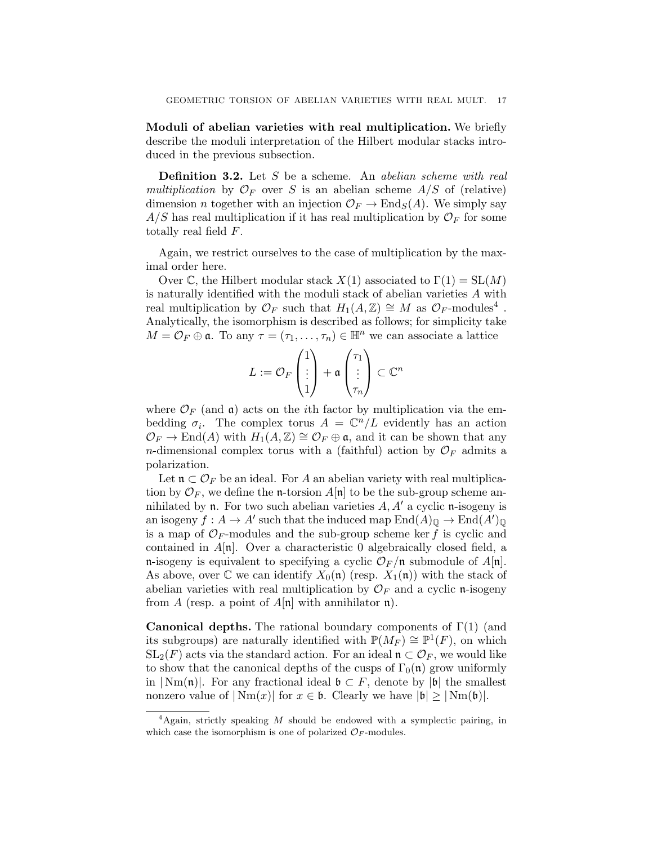Moduli of abelian varieties with real multiplication. We briefly describe the moduli interpretation of the Hilbert modular stacks introduced in the previous subsection.

**Definition 3.2.** Let S be a scheme. An *abelian scheme with real* multiplication by  $\mathcal{O}_F$  over S is an abelian scheme  $A/S$  of (relative) dimension *n* together with an injection  $\mathcal{O}_F \to \text{End}_S(A)$ . We simply say  $A/S$  has real multiplication if it has real multiplication by  $\mathcal{O}_F$  for some totally real field F.

Again, we restrict ourselves to the case of multiplication by the maximal order here.

Over C, the Hilbert modular stack  $X(1)$  associated to  $\Gamma(1) = SL(M)$ is naturally identified with the moduli stack of abelian varieties  $A$  with real multiplication by  $\mathcal{O}_F$  such that  $H_1(A,\mathbb{Z}) \cong M$  as  $\mathcal{O}_F$ -modules<sup>4</sup>. Analytically, the isomorphism is described as follows; for simplicity take  $M = \mathcal{O}_F \oplus \mathfrak{a}$ . To any  $\tau = (\tau_1, \ldots, \tau_n) \in \mathbb{H}^n$  we can associate a lattice

$$
L := \mathcal{O}_F\begin{pmatrix}1\\ \vdots\\ 1\end{pmatrix} + \mathfrak{a}\begin{pmatrix}\tau_1\\ \vdots\\ \tau_n\end{pmatrix} \subset \mathbb{C}^n
$$

where  $\mathcal{O}_F$  (and  $\mathfrak{a}$ ) acts on the *i*th factor by multiplication via the embedding  $\sigma_i$ . The complex torus  $A = \mathbb{C}^n/L$  evidently has an action  $\mathcal{O}_F \to \text{End}(A)$  with  $H_1(A,\mathbb{Z}) \cong \mathcal{O}_F \oplus \mathfrak{a}$ , and it can be shown that any *n*-dimensional complex torus with a (faithful) action by  $\mathcal{O}_F$  admits a polarization.

Let  $\mathfrak{n} \subset \mathcal{O}_F$  be an ideal. For A an abelian variety with real multiplication by  $\mathcal{O}_F$ , we define the **n**-torsion  $A[\mathfrak{n}]$  to be the sub-group scheme annihilated by **n**. For two such abelian varieties  $A, A'$  a cyclic **n**-isogeny is an isogeny  $f : A \to A'$  such that the induced map  $\text{End}(A)_{\mathbb{Q}} \to \text{End}(A')_{\mathbb{Q}}$ is a map of  $\mathcal{O}_F$ -modules and the sub-group scheme ker f is cyclic and contained in  $A[n]$ . Over a characteristic 0 algebraically closed field, a n-isogeny is equivalent to specifying a cyclic  $\mathcal{O}_F$ /n submodule of  $A[n]$ . As above, over  $\mathbb C$  we can identify  $X_0(\mathfrak n)$  (resp.  $X_1(\mathfrak n)$ ) with the stack of abelian varieties with real multiplication by  $\mathcal{O}_F$  and a cyclic n-isogeny from A (resp. a point of  $A[\mathfrak{n}]$  with annihilator  $\mathfrak{n}$ ).

**Canonical depths.** The rational boundary components of  $\Gamma(1)$  (and its subgroups) are naturally identified with  $\mathbb{P}(M_F) \cong \mathbb{P}^1(F)$ , on which  $SL_2(F)$  acts via the standard action. For an ideal  $\mathfrak{n} \subset \mathcal{O}_F$ , we would like to show that the canonical depths of the cusps of  $\Gamma_0(\mathfrak{n})$  grow uniformly in  $|\text{Nm}(\mathfrak{n})|$ . For any fractional ideal  $\mathfrak{b} \subset F$ , denote by  $|\mathfrak{b}|$  the smallest nonzero value of  $|\text{Nm}(x)|$  for  $x \in \mathfrak{b}$ . Clearly we have  $|\mathfrak{b}| \geq |\text{Nm}(\mathfrak{b})|$ .

 ${}^{4}$ Again, strictly speaking M should be endowed with a symplectic pairing, in which case the isomorphism is one of polarized  $\mathcal{O}_F$ -modules.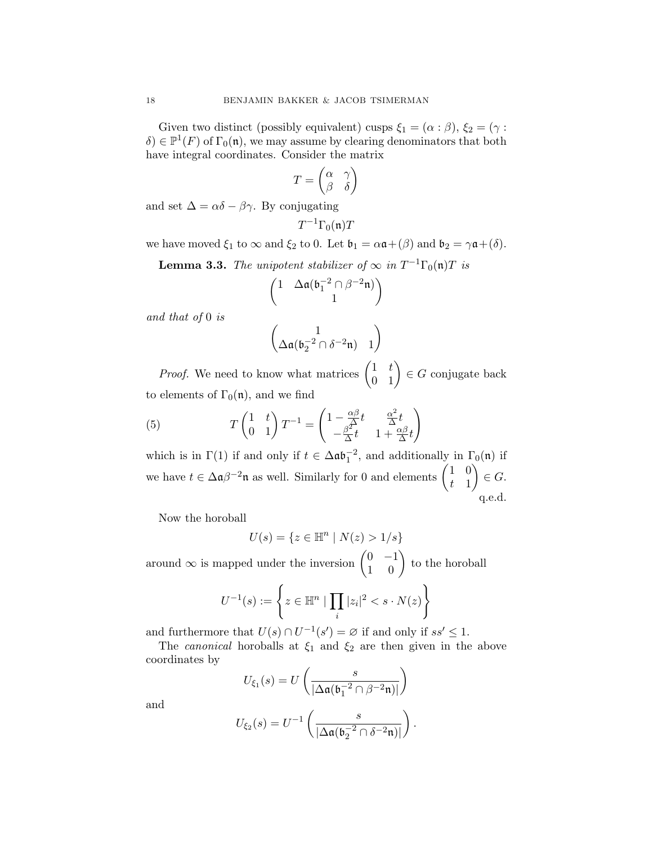Given two distinct (possibly equivalent) cusps  $\xi_1 = (\alpha : \beta), \xi_2 = (\gamma : \beta)$  $\delta$ )  $\in \mathbb{P}^1(F)$  of  $\Gamma_0(\mathfrak{n})$ , we may assume by clearing denominators that both have integral coordinates. Consider the matrix

$$
T = \begin{pmatrix} \alpha & \gamma \\ \beta & \delta \end{pmatrix}
$$

and set  $\Delta = \alpha \delta - \beta \gamma$ . By conjugating

$$
T^{-1}\Gamma_0(\mathfrak{n})T
$$

we have moved  $\xi_1$  to  $\infty$  and  $\xi_2$  to 0. Let  $\mathfrak{b}_1 = \alpha \mathfrak{a} + (\beta)$  and  $\mathfrak{b}_2 = \gamma \mathfrak{a} + (\delta)$ .

**Lemma 3.3.** The unipotent stabilizer of  $\infty$  in  $T^{-1}\Gamma_0(\mathfrak{n})T$  is

$$
\begin{pmatrix} 1 & \Delta \mathfrak{a}(\mathfrak{b}_1^{-2} \cap \beta^{-2} \mathfrak{n}) \\ & 1 \end{pmatrix}
$$

and that of 0 is

$$
\begin{pmatrix} 1 \\ \Delta \mathfrak{a}(\mathfrak{b}_2^{-2} \cap \delta^{-2} \mathfrak{n}) & 1 \end{pmatrix}
$$

*Proof.* We need to know what matrices  $\begin{pmatrix} 1 & t \\ 0 & 1 \end{pmatrix} \in G$  conjugate back to elements of  $\Gamma_0(\mathfrak{n})$ , and we find

(5) 
$$
T\begin{pmatrix} 1 & t \\ 0 & 1 \end{pmatrix} T^{-1} = \begin{pmatrix} 1 - \frac{\alpha \beta}{\beta} t & \frac{\alpha^2}{\Delta} t \\ -\frac{\beta^2}{\Delta} t & 1 + \frac{\alpha \beta}{\Delta} t \end{pmatrix}
$$

which is in  $\Gamma(1)$  if and only if  $t \in \Delta \mathfrak{ab}_1^{-2}$ , and additionally in  $\Gamma_0(\mathfrak{n})$  if we have  $t \in \Delta \mathfrak{a} \beta^{-2} \mathfrak{n}$  as well. Similarly for 0 and elements  $\begin{pmatrix} 1 & 0 \\ 1 & 1 \end{pmatrix}$ t 1  $\Big\} \in G.$ q.e.d.

Now the horoball

$$
U(s) = \{ z \in \mathbb{H}^n \mid N(z) > 1/s \}
$$

around  $\infty$  is mapped under the inversion  $\begin{pmatrix} 0 & -1 \\ 1 & 0 \end{pmatrix}$  to the horoball

$$
U^{-1}(s) := \left\{ z \in \mathbb{H}^n \mid \prod_i |z_i|^2 < s \cdot N(z) \right\}
$$

and furthermore that  $U(s) \cap U^{-1}(s') = \emptyset$  if and only if  $ss' \leq 1$ .

The *canonical* horoballs at  $\xi_1$  and  $\xi_2$  are then given in the above coordinates by

$$
U_{\xi_1}(s) = U\left(\frac{s}{|\Delta \mathfrak{a}(\mathfrak{b}_1^{-2} \cap \beta^{-2} \mathfrak{n})|}\right)
$$

and

$$
U_{\xi_2}(s) = U^{-1}\left(\frac{s}{|\Delta \mathfrak{a}(\mathfrak{b}_2^{-2} \cap \delta^{-2} \mathfrak{n})|}\right).
$$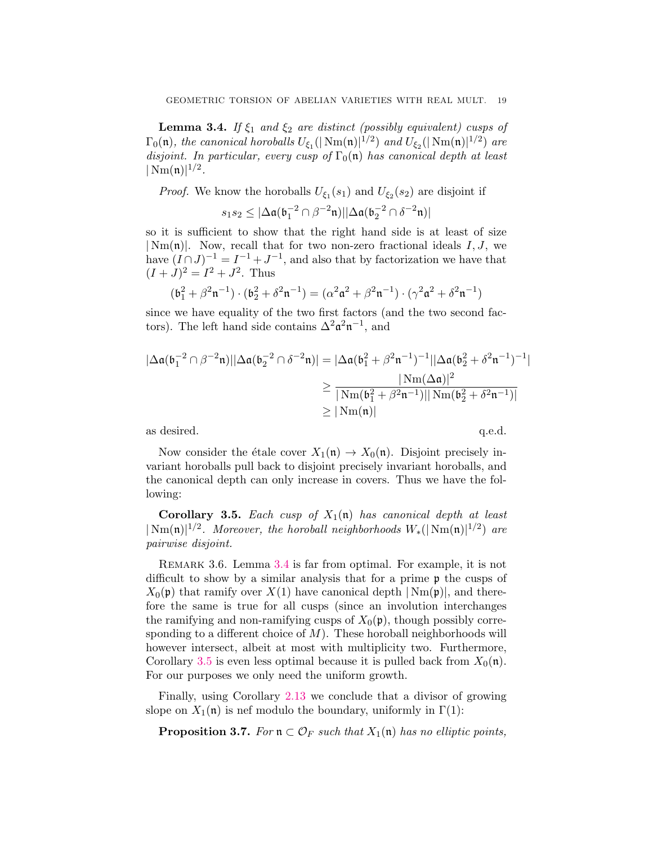<span id="page-18-0"></span>**Lemma 3.4.** If  $\xi_1$  and  $\xi_2$  are distinct (possibly equivalent) cusps of  $\Gamma_0(\mathfrak{n}),$  the canonical horoballs  $U_{\xi_1}(|\operatorname{Nm}(\mathfrak{n})|^{1/2})$  and  $U_{\xi_2}(|\operatorname{Nm}(\mathfrak{n})|^{1/2})$  are disjoint. In particular, every cusp of  $\Gamma_0(\mathfrak{n})$  has canonical depth at least  $|\,\mathrm{Nm}(\mathfrak{n})|^{1/2}.$ 

*Proof.* We know the horoballs  $U_{\xi_1}(s_1)$  and  $U_{\xi_2}(s_2)$  are disjoint if

$$
s_1s_2\leq |\Delta \mathfrak{a}(\mathfrak{b}_1^{-2}\cap \beta^{-2}\mathfrak{n})||\Delta \mathfrak{a}(\mathfrak{b}_2^{-2}\cap \delta^{-2}\mathfrak{n})|
$$

so it is sufficient to show that the right hand side is at least of size  $|Nm(n)|$ . Now, recall that for two non-zero fractional ideals I, J, we have  $(I \cap J)^{-1} = I^{-1} + J^{-1}$ , and also that by factorization we have that  $(I+J)^2 = I^2 + J^2$ . Thus

$$
(\mathfrak{b}_{1}^{2}+\beta^{2}\mathfrak{n}^{-1})\cdot(\mathfrak{b}_{2}^{2}+\delta^{2}\mathfrak{n}^{-1})=(\alpha^{2}\mathfrak{a}^{2}+\beta^{2}\mathfrak{n}^{-1})\cdot(\gamma^{2}\mathfrak{a}^{2}+\delta^{2}\mathfrak{n}^{-1})
$$

since we have equality of the two first factors (and the two second factors). The left hand side contains  $\Delta^2 \mathfrak{a}^2 \mathfrak{n}^{-1}$ , and

$$
\begin{aligned} |\Delta \mathfrak{a}(\mathfrak{b}_1^{-2}\cap \beta^{-2}\mathfrak{n})| |\Delta \mathfrak{a}(\mathfrak{b}_2^{-2}\cap \delta^{-2}\mathfrak{n})| &= |\Delta \mathfrak{a}(\mathfrak{b}_1^2 + \beta^2\mathfrak{n}^{-1})^{-1}| |\Delta \mathfrak{a}(\mathfrak{b}_2^2 + \delta^2\mathfrak{n}^{-1})^{-1}| \\ &\geq \frac{|\operatorname{Nm}(\Delta \mathfrak{a})|^2}{|\operatorname{Nm}(\mathfrak{b}_1^2 + \beta^2\mathfrak{n}^{-1})| |\operatorname{Nm}(\mathfrak{b}_2^2 + \delta^2\mathfrak{n}^{-1})|} \\ &\geq |\operatorname{Nm}(\mathfrak{n})| \end{aligned}
$$

as desired.  $q.e.d.$ 

Now consider the étale cover  $X_1(\mathfrak{n}) \to X_0(\mathfrak{n})$ . Disjoint precisely invariant horoballs pull back to disjoint precisely invariant horoballs, and the canonical depth can only increase in covers. Thus we have the following:

<span id="page-18-1"></span>**Corollary 3.5.** Each cusp of  $X_1(\mathfrak{n})$  has canonical depth at least  $|\text{Nm}(\mathfrak{n})|^{1/2}$ . Moreover, the horoball neighborhoods  $W_*(|\text{Nm}(\mathfrak{n})|^{1/2})$  are pairwise disjoint.

<span id="page-18-3"></span>REMARK 3.6. Lemma [3.4](#page-18-0) is far from optimal. For example, it is not difficult to show by a similar analysis that for a prime p the cusps of  $X_0(\mathfrak{p})$  that ramify over  $X(1)$  have canonical depth  $|\text{Nm}(\mathfrak{p})|$ , and therefore the same is true for all cusps (since an involution interchanges the ramifying and non-ramifying cusps of  $X_0(\mathfrak{p})$ , though possibly corresponding to a different choice of  $M$ ). These horoball neighborhoods will however intersect, albeit at most with multiplicity two. Furthermore, Corollary [3.5](#page-18-1) is even less optimal because it is pulled back from  $X_0(\mathfrak{n})$ . For our purposes we only need the uniform growth.

Finally, using Corollary [2.13](#page-14-1) we conclude that a divisor of growing slope on  $X_1(\mathfrak{n})$  is nef modulo the boundary, uniformly in  $\Gamma(1)$ :

<span id="page-18-2"></span>**Proposition 3.7.** For  $\mathfrak{n} \subset \mathcal{O}_F$  such that  $X_1(\mathfrak{n})$  has no elliptic points,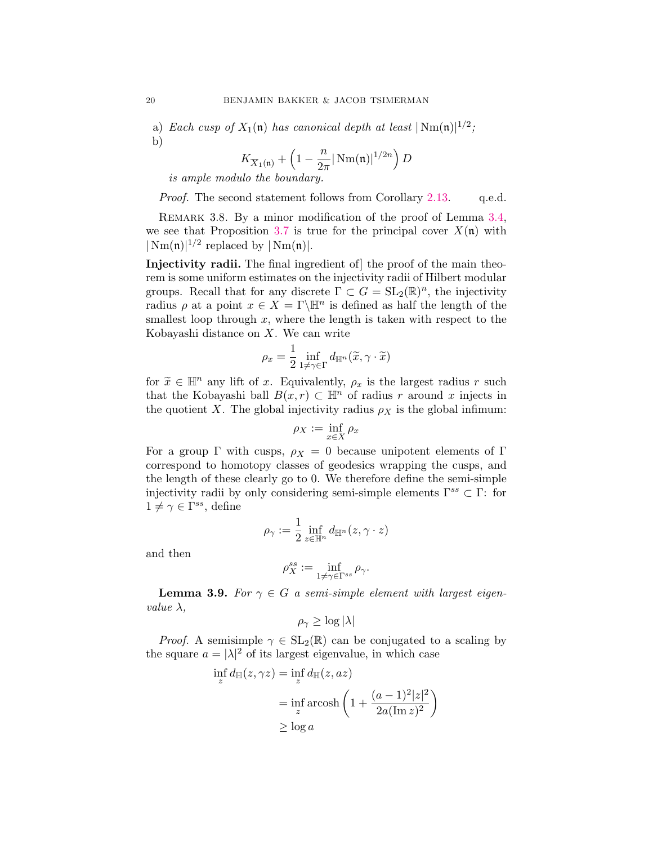a) Each cusp of  $X_1(\mathfrak{n})$  has canonical depth at least  $|\text{Nm}(\mathfrak{n})|^{1/2}$ ; b)

$$
K_{\overline{X}_1(\mathfrak{n})} + \left(1 - \frac{n}{2\pi} |\operatorname{Nm}(\mathfrak{n})|^{1/2n} \right) D
$$

is ample modulo the boundary.

Proof. The second statement follows from Corollary [2.13.](#page-14-1) q.e.d.

<span id="page-19-0"></span>REMARK 3.8. By a minor modification of the proof of Lemma [3.4,](#page-18-0) we see that Proposition [3.7](#page-18-2) is true for the principal cover  $X(\mathfrak{n})$  with  $|\text{Nm}(\mathfrak{n})|^{1/2}$  replaced by  $|\text{Nm}(\mathfrak{n})|$ .

Injectivity radii. The final ingredient of] the proof of the main theorem is some uniform estimates on the injectivity radii of Hilbert modular groups. Recall that for any discrete  $\Gamma \subset G = SL_2(\mathbb{R})^n$ , the injectivity radius  $\rho$  at a point  $x \in X = \Gamma \backslash \mathbb{H}^n$  is defined as half the length of the smallest loop through  $x$ , where the length is taken with respect to the Kobayashi distance on  $X$ . We can write

$$
\rho_x = \frac{1}{2} \inf_{1 \neq \gamma \in \Gamma} d_{\mathbb{H}^n}(\widetilde{x}, \gamma \cdot \widetilde{x})
$$

for  $\widetilde{x} \in \mathbb{H}^n$  any lift of x. Equivalently,  $\rho_x$  is the largest radius r such that the Kobayashi ball  $B(x, r) \subset \mathbb{H}^n$  of radius r around x injects in the quotient X. The global injectivity radius  $\rho_X$  is the global infimum:

$$
\rho_X:=\inf_{x\in X}\rho_x
$$

For a group  $\Gamma$  with cusps,  $\rho_X = 0$  because unipotent elements of  $\Gamma$ correspond to homotopy classes of geodesics wrapping the cusps, and the length of these clearly go to 0. We therefore define the semi-simple injectivity radii by only considering semi-simple elements  $\Gamma^{ss} \subset \Gamma$ : for  $1 \neq \gamma \in \Gamma^{ss}$ , define

$$
\rho_\gamma:=\frac{1}{2}\inf_{z\in\mathbb{H}^n}d_{\mathbb{H}^n}(z,\gamma\cdot z)
$$

and then

$$
\rho_X^{ss} := \inf_{1 \neq \gamma \in \Gamma^{ss}} \rho_{\gamma}.
$$

**Lemma 3.9.** For  $\gamma \in G$  a semi-simple element with largest eigenvalue  $\lambda$ ,

$$
\rho_{\gamma} \geq \log |\lambda|
$$

*Proof.* A semisimple  $\gamma \in SL_2(\mathbb{R})$  can be conjugated to a scaling by the square  $a = |\lambda|^2$  of its largest eigenvalue, in which case

$$
\inf_{z} d_{\mathbb{H}}(z, \gamma z) = \inf_{z} d_{\mathbb{H}}(z, az)
$$
\n
$$
= \inf_{z} \operatorname{arcosh}\left(1 + \frac{(a-1)^2 |z|^2}{2a(\operatorname{Im} z)^2}\right)
$$
\n
$$
\geq \log a
$$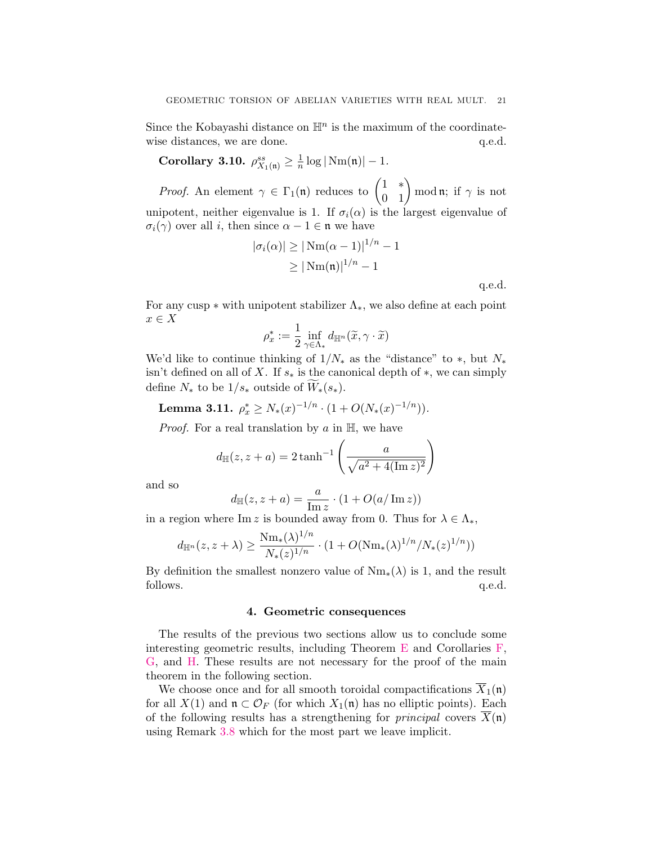Since the Kobayashi distance on  $\mathbb{H}^n$  is the maximum of the coordinatewise distances, we are done.  $q.e.d.$ 

<span id="page-20-1"></span>Corollary 3.10.  $\rho_{X_1(\mathfrak{n})}^{ss} \geq \frac{1}{n}$  $\frac{1}{n} \log |\text{Nm}(\mathfrak{n})| - 1.$ 

*Proof.* An element  $\gamma \in \Gamma_1(\mathfrak{n})$  reduces to  $\begin{pmatrix} 1 & * \\ 0 & 1 \end{pmatrix}$  mod  $\mathfrak{n}$ ; if  $\gamma$  is not unipotent, neither eigenvalue is 1. If  $\sigma_i(\alpha)$  is the largest eigenvalue of  $\sigma_i(\gamma)$  over all i, then since  $\alpha - 1 \in \mathfrak{n}$  we have

$$
|\sigma_i(\alpha)| \ge |\text{Nm}(\alpha - 1)|^{1/n} - 1
$$
  
\n
$$
\ge |\text{Nm}(\mathfrak{n})|^{1/n} - 1
$$
  
\nq.e.d.

For any cusp  $*$  with unipotent stabilizer  $\Lambda_*$ , we also define at each point  $x \in X$ 

$$
\rho_x^*:=\frac{1}{2}\inf_{\gamma\in\Lambda_*}d_{\mathbb{H}^n}(\widetilde{x},\gamma\cdot\widetilde{x})
$$

We'd like to continue thinking of  $1/N_*$  as the "distance" to  $*$ , but  $N_*$ isn't defined on all of X. If  $s_*$  is the canonical depth of  $*$ , we can simply define  $N_*$  to be  $1/s_*$  outside of  $W_*(s_*)$ .

<span id="page-20-2"></span>**Lemma 3.11.** 
$$
\rho_x^* \geq N_*(x)^{-1/n} \cdot (1 + O(N_*(x)^{-1/n})).
$$

*Proof.* For a real translation by  $a$  in  $\mathbb{H}$ , we have

$$
d_{\mathbb{H}}(z, z + a) = 2 \tanh^{-1} \left( \frac{a}{\sqrt{a^2 + 4(\text{Im } z)^2}} \right)
$$

and so

$$
d_{\mathbb{H}}(z, z + a) = \frac{a}{\text{Im } z} \cdot (1 + O(a / \text{Im } z))
$$

in a region where Im z is bounded away from 0. Thus for  $\lambda \in \Lambda_*$ ,

$$
d_{\mathbb{H}^n}(z, z + \lambda) \ge \frac{\mathrm{Nm}_*(\lambda)^{1/n}}{N_*(z)^{1/n}} \cdot (1 + O(\mathrm{Nm}_*(\lambda)^{1/n}/N_*(z)^{1/n}))
$$

By definition the smallest nonzero value of  $Nm_*(\lambda)$  is 1, and the result follows.  $q.e.d.$ 

#### 4. Geometric consequences

<span id="page-20-0"></span>The results of the previous two sections allow us to conclude some interesting geometric results, including Theorem  $E$  and Corollaries  $F$ , [G,](#page-3-3) and [H.](#page-3-2) These results are not necessary for the proof of the main theorem in the following section.

We choose once and for all smooth toroidal compactifications  $\overline{X}_1(\mathfrak{n})$ for all  $X(1)$  and  $\mathfrak{n} \subset \mathcal{O}_F$  (for which  $X_1(\mathfrak{n})$  has no elliptic points). Each of the following results has a strengthening for *principal* covers  $X(\mathfrak{n})$ using Remark [3.8](#page-19-0) which for the most part we leave implicit.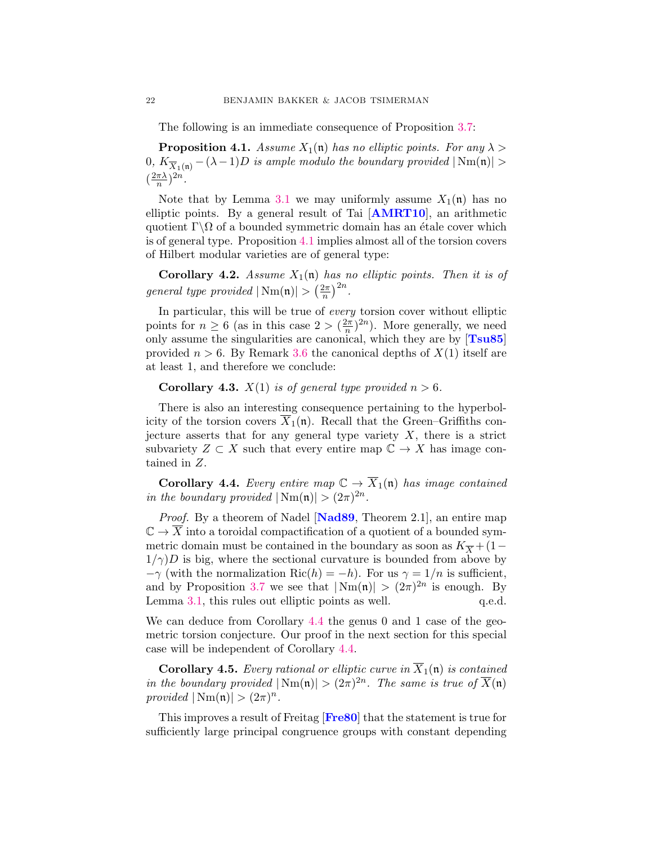The following is an immediate consequence of Proposition [3.7:](#page-18-2)

<span id="page-21-0"></span>**Proposition 4.1.** Assume  $X_1(\mathfrak{n})$  has no elliptic points. For any  $\lambda >$ 0,  $K_{\overline{X}_1(\mathfrak{n})} - (\lambda - 1)D$  is ample modulo the boundary provided  $|\text{Nm}(\mathfrak{n})| >$  $\left(\frac{2\pi\lambda}{n}\right)$  $(\frac{\pi\lambda}{n})^{2n}.$ 

Note that by Lemma [3.1](#page-15-0) we may uniformly assume  $X_1(\mathfrak{n})$  has no elliptic points. By a general result of Tai [[AMRT10](#page-29-6)], an arithmetic quotient  $\Gamma \backslash \Omega$  of a bounded symmetric domain has an étale cover which is of general type. Proposition [4.1](#page-21-0) implies almost all of the torsion covers of Hilbert modular varieties are of general type:

**Corollary 4.2.** Assume  $X_1(n)$  has no elliptic points. Then it is of general type provided  $|\text{Nm}(\mathfrak{n})| > \left(\frac{2\pi}{n}\right)$  $\frac{2\pi}{n}\Big)^{2n}.$ 

In particular, this will be true of every torsion cover without elliptic points for  $n \geq 6$  (as in this case  $2 > (\frac{2\pi}{n})$  $(\frac{2\pi}{n})^{2n}$ ). More generally, we need only assume the singularities are canonical, which they are by  $[Tsu85]$  $[Tsu85]$  $[Tsu85]$ provided  $n > 6$ . By Remark [3.6](#page-18-3) the canonical depths of  $X(1)$  itself are at least 1, and therefore we conclude:

**Corollary 4.3.**  $X(1)$  is of general type provided  $n > 6$ .

There is also an interesting consequence pertaining to the hyperbolicity of the torsion covers  $\overline{X}_1(\mathfrak{n})$ . Recall that the Green–Griffiths conjecture asserts that for any general type variety  $X$ , there is a strict subvariety  $Z \subset X$  such that every entire map  $\mathbb{C} \to X$  has image contained in Z.

<span id="page-21-1"></span>**Corollary 4.4.** Every entire map  $\mathbb{C} \to \overline{X}_1(\mathfrak{n})$  has image contained in the boundary provided  $|\text{Nm}(\mathfrak{n})| > (2\pi)^{2n}$ .

Proof. By a theorem of Nadel [[Nad89](#page-30-5), Theorem 2.1], an entire map  $\mathbb{C} \to \overline{X}$  into a toroidal compactification of a quotient of a bounded symmetric domain must be contained in the boundary as soon as  $K_{\overline{X}} + (1 1/\gamma$ )D is big, where the sectional curvature is bounded from above by  $-\gamma$  (with the normalization Ric(h) = -h). For us  $\gamma = 1/n$  is sufficient, and by Proposition [3.7](#page-18-2) we see that  $|\text{Nm}(\mathfrak{n})| > (2\pi)^{2n}$  is enough. By Lemma  $3.1$ , this rules out elliptic points as well.  $q.e.d.$ 

We can deduce from Corollary [4.4](#page-21-1) the genus 0 and 1 case of the geometric torsion conjecture. Our proof in the next section for this special case will be independent of Corollary [4.4.](#page-21-1)

**Corollary 4.5.** Every rational or elliptic curve in  $\overline{X}_1(\mathfrak{n})$  is contained in the boundary provided  $|\text{Nm}(\mathfrak{n})| > (2\pi)^{2n}$ . The same is true of  $\overline{X}(\mathfrak{n})$ provided  $|\text{Nm}(\mathfrak{n})| > (2\pi)^n$ .

This improves a result of Freitag [[Fre80](#page-29-11)] that the statement is true for sufficiently large principal congruence groups with constant depending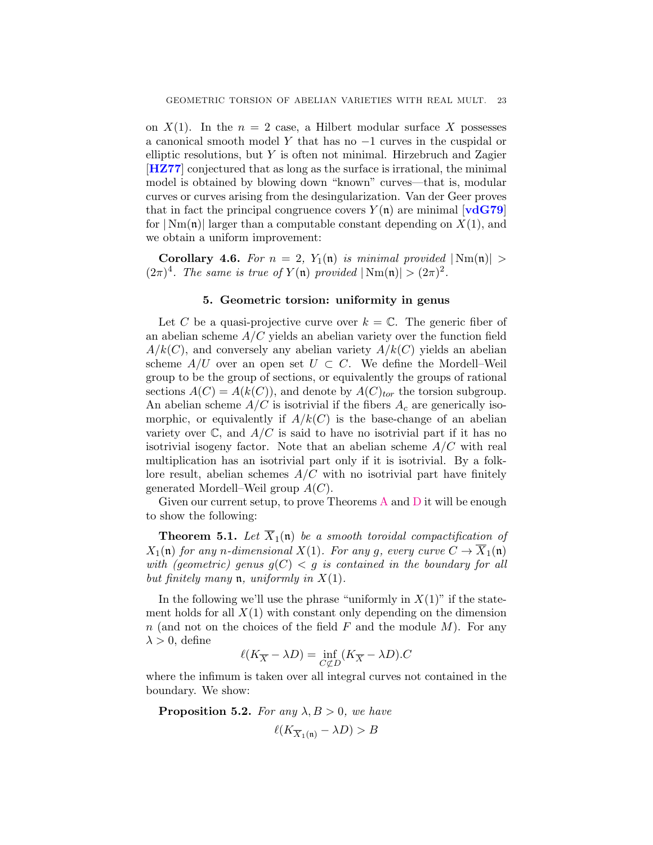on  $X(1)$ . In the  $n = 2$  case, a Hilbert modular surface X possesses a canonical smooth model Y that has no −1 curves in the cuspidal or elliptic resolutions, but Y is often not minimal. Hirzebruch and Zagier [[HZ77](#page-30-10)] conjectured that as long as the surface is irrational, the minimal model is obtained by blowing down "known" curves—that is, modular curves or curves arising from the desingularization. Van der Geer proves that in fact the principal congruence covers  $Y(\mathfrak{n})$  are minimal [[vdG79](#page-30-11)] for  $|\text{Nm}(\mathfrak{n})|$  larger than a computable constant depending on  $X(1)$ , and we obtain a uniform improvement:

**Corollary 4.6.** For  $n = 2$ ,  $Y_1(\mathfrak{n})$  is minimal provided  $|\text{Nm}(\mathfrak{n})| >$  $(2\pi)^4$ . The same is true of  $Y(\mathfrak{n})$  provided  $|\text{Nm}(\mathfrak{n})| > (2\pi)^2$ .

### 5. Geometric torsion: uniformity in genus

<span id="page-22-0"></span>Let C be a quasi-projective curve over  $k = \mathbb{C}$ . The generic fiber of an abelian scheme  $A/C$  yields an abelian variety over the function field  $A/k(C)$ , and conversely any abelian variety  $A/k(C)$  yields an abelian scheme  $A/U$  over an open set  $U \subset C$ . We define the Mordell–Weil group to be the group of sections, or equivalently the groups of rational sections  $A(C) = A(k(C))$ , and denote by  $A(C)_{tor}$  the torsion subgroup. An abelian scheme  $A/C$  is isotrivial if the fibers  $A_c$  are generically isomorphic, or equivalently if  $A/k(C)$  is the base-change of an abelian variety over  $\mathbb{C}$ , and  $A/C$  is said to have no isotrivial part if it has no isotrivial isogeny factor. Note that an abelian scheme  $A/C$  with real multiplication has an isotrivial part only if it is isotrivial. By a folklore result, abelian schemes  $A/C$  with no isotrivial part have finitely generated Mordell–Weil group  $A(C)$ .

Given our current setup, to prove Theorems  $A$  and  $D$  it will be enough to show the following:

<span id="page-22-1"></span>**Theorem 5.1.** Let  $\overline{X}_1(\mathfrak{n})$  be a smooth toroidal compactification of  $X_1(\mathfrak{n})$  for any n-dimensional  $X(1)$ . For any g, every curve  $C \to \overline{X}_1(\mathfrak{n})$ with (geometric) genus  $g(C) < g$  is contained in the boundary for all but finitely many  $\mathfrak n$ , uniformly in  $X(1)$ .

In the following we'll use the phrase "uniformly in  $X(1)$ " if the statement holds for all  $X(1)$  with constant only depending on the dimension n (and not on the choices of the field  $F$  and the module  $M$ ). For any  $\lambda > 0$ , define

$$
\ell(K_{\overline{X}} - \lambda D) = \inf_{C \not\subset D} (K_{\overline{X}} - \lambda D).C
$$

where the infimum is taken over all integral curves not contained in the boundary. We show:

<span id="page-22-2"></span>**Proposition 5.2.** For any  $\lambda, B > 0$ , we have

$$
\ell(K_{\overline{X}_1(\mathfrak{n})} - \lambda D) > B
$$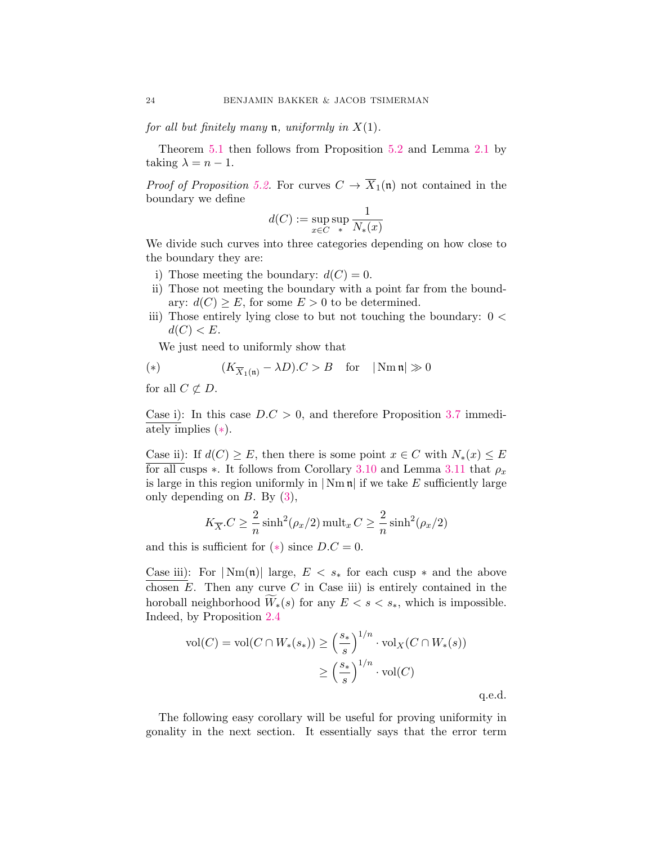for all but finitely many  $\mathfrak n$ , uniformly in  $X(1)$ .

Theorem [5.1](#page-22-1) then follows from Proposition [5.2](#page-22-2) and Lemma [2.1](#page-9-0) by taking  $\lambda = n - 1$ .

*Proof of Proposition [5.2.](#page-22-2)* For curves  $C \to \overline{X}_1(\mathfrak{n})$  not contained in the boundary we define

$$
d(C) := \sup_{x \in C} \sup_* \frac{1}{N_*(x)}
$$

We divide such curves into three categories depending on how close to the boundary they are:

- i) Those meeting the boundary:  $d(C) = 0$ .
- ii) Those not meeting the boundary with a point far from the boundary:  $d(C) \geq E$ , for some  $E > 0$  to be determined.
- iii) Those entirely lying close to but not touching the boundary:  $0 <$  $d(C) < E$ .

We just need to uniformly show that

<span id="page-23-0"></span>(\*) 
$$
(K_{\overline{X}_1(\mathfrak{n})} - \lambda D).C > B
$$
 for  $|\text{Nm } \mathfrak{n}| \gg 0$ 

for all  $C \not\subset D$ .

Case i): In this case  $D.C > 0$ , and therefore Proposition [3.7](#page-18-2) immediately implies ([∗](#page-23-0)).

Case ii): If  $d(C) \geq E$ , then there is some point  $x \in C$  with  $N_*(x) \leq E$ for all cusps  $\ast$ . It follows from Corollary [3.10](#page-20-1) and Lemma [3.11](#page-20-2) that  $\rho_x$ is large in this region uniformly in  $|\text{Nm } \mathfrak{n}|$  if we take E sufficiently large only depending on  $B$ . By  $(3)$ ,

$$
K_{\overline{X}}.C \ge \frac{2}{n} \sinh^2(\rho_x/2) \operatorname{mult}_x C \ge \frac{2}{n} \sinh^2(\rho_x/2)
$$

and this is sufficient for  $(*)$  since  $D.C = 0$ .

Case iii): For  $|\text{Nm}(\mathfrak{n})|$  large,  $E < s_*$  for each cusp  $*$  and the above chosen  $E$ . Then any curve  $C$  in Case iii) is entirely contained in the horoball neighborhood  $\widetilde{W}_*(s)$  for any  $E < s < s_*$ , which is impossible. Indeed, by Proposition [2.4](#page-10-0)

$$
\text{vol}(C) = \text{vol}(C \cap W_*(s_*) ) \ge \left(\frac{s_*}{s}\right)^{1/n} \cdot \text{vol}_X(C \cap W_*(s))
$$

$$
\ge \left(\frac{s_*}{s}\right)^{1/n} \cdot \text{vol}(C)
$$

q.e.d.

The following easy corollary will be useful for proving uniformity in gonality in the next section. It essentially says that the error term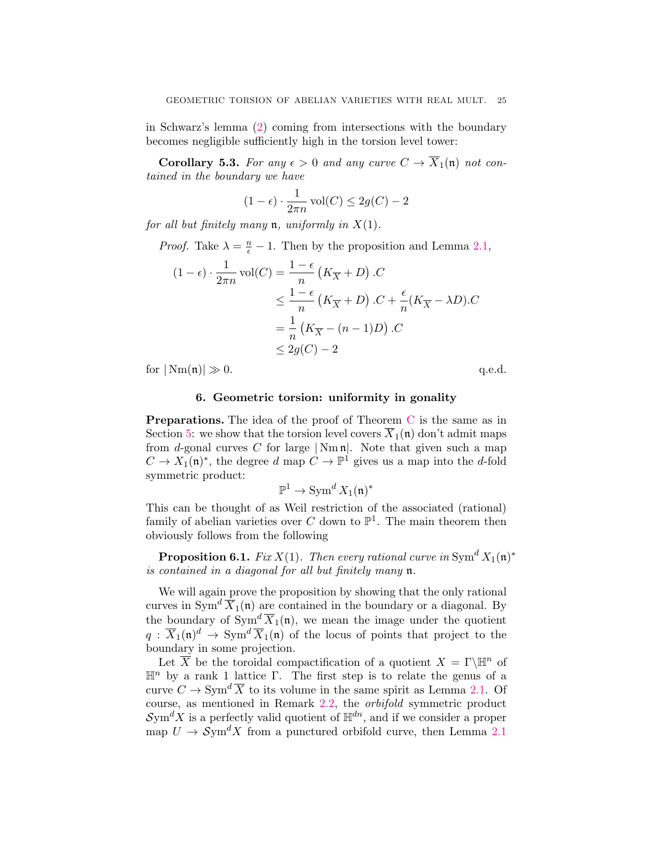in Schwarz's lemma [\(2\)](#page-9-1) coming from intersections with the boundary becomes negligible sufficiently high in the torsion level tower:

<span id="page-24-2"></span>**Corollary 5.3.** For any  $\epsilon > 0$  and any curve  $C \to \overline{X}_1(\mathfrak{n})$  not contained in the boundary we have

$$
(1 - \epsilon) \cdot \frac{1}{2\pi n} \operatorname{vol}(C) \le 2g(C) - 2
$$

for all but finitely many **n**, uniformly in  $X(1)$ .

*Proof.* Take  $\lambda = \frac{n}{\epsilon} - 1$ . Then by the proposition and Lemma [2.1,](#page-9-0)

$$
(1 - \epsilon) \cdot \frac{1}{2\pi n} \operatorname{vol}(C) = \frac{1 - \epsilon}{n} \left( K_{\overline{X}} + D \right) .C
$$
  

$$
\leq \frac{1 - \epsilon}{n} \left( K_{\overline{X}} + D \right) .C + \frac{\epsilon}{n} \left( K_{\overline{X}} - \lambda D \right) .C
$$
  

$$
= \frac{1}{n} \left( K_{\overline{X}} - (n - 1)D \right) .C
$$
  

$$
\leq 2g(C) - 2
$$

for  $|\text{Nm}(\mathfrak{n})| \gg 0.$  q.e.d.

# 6. Geometric torsion: uniformity in gonality

<span id="page-24-0"></span>**Preparations.** The idea of the proof of Theorem [C](#page-1-2) is the same as in Section [5:](#page-22-0) we show that the torsion level covers  $\overline{X}_1(\mathfrak{n})$  don't admit maps from d-gonal curves C for large  $|\text{Nm } \mathfrak{n}|$ . Note that given such a map  $C \to X_1(\mathfrak{n})^*$ , the degree d map  $C \to \mathbb{P}^1$  gives us a map into the d-fold symmetric product:

$$
\mathbb{P}^1 \to \operatorname{Sym}^d X_1(\mathfrak{n})^*
$$

This can be thought of as Weil restriction of the associated (rational) family of abelian varieties over C down to  $\mathbb{P}^1$ . The main theorem then obviously follows from the following

<span id="page-24-1"></span>**Proposition 6.1.** Fix  $X(1)$ . Then every rational curve in  $Sym^d X_1(\mathfrak{n})^*$ is contained in a diagonal for all but finitely many n.

We will again prove the proposition by showing that the only rational curves in Sym<sup> $d \overline{X}_1(\mathfrak{n})$  are contained in the boundary or a diagonal. By</sup> the boundary of  $\text{Sym}^d \overline{X}_1(\mathfrak{n})$ , we mean the image under the quotient  $q: \overline{X}_1(\mathfrak{n})^d \to \text{Sym}^d \overline{X}_1(\mathfrak{n})$  of the locus of points that project to the boundary in some projection.

Let  $\overline{X}$  be the toroidal compactification of a quotient  $X = \Gamma \backslash \mathbb{H}^n$  of  $\mathbb{H}^n$  by a rank 1 lattice Γ. The first step is to relate the genus of a curve  $C \to \text{Sym}^d \overline{X}$  to its volume in the same spirit as Lemma [2.1.](#page-9-0) Of course, as mentioned in Remark [2.2,](#page-9-3) the orbifold symmetric product  $\mathcal{S}\text{ym}^d X$  is a perfectly valid quotient of  $\mathbb{H}^{dn}$ , and if we consider a proper map  $U \to \mathcal{S}ym^d X$  from a punctured orbifold curve, then Lemma [2.1](#page-9-0)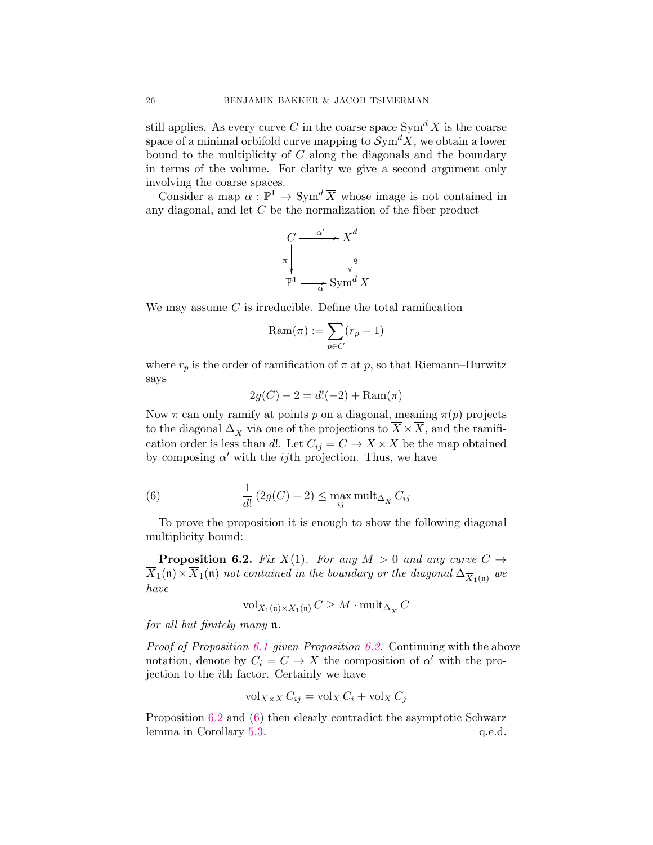still applies. As every curve C in the coarse space  $\text{Sym}^d X$  is the coarse space of a minimal orbifold curve mapping to  $\mathcal{Sym}^dX$ , we obtain a lower bound to the multiplicity of  $C$  along the diagonals and the boundary in terms of the volume. For clarity we give a second argument only involving the coarse spaces.

Consider a map  $\alpha : \mathbb{P}^1 \to \text{Sym}^d \overline{X}$  whose image is not contained in any diagonal, and let C be the normalization of the fiber product

$$
C \xrightarrow{\alpha'} \overline{X}^d
$$
  
\n
$$
\pi \downarrow \qquad \qquad \downarrow q
$$
  
\n
$$
\mathbb{P}^1 \xrightarrow{\alpha} \text{Sym}^d \overline{X}
$$

We may assume C is irreducible. Define the total ramification

$$
\mathrm{Ram}(\pi):=\sum_{p\in C}(r_p-1)
$$

where  $r_p$  is the order of ramification of  $\pi$  at p, so that Riemann–Hurwitz says

<span id="page-25-1"></span>
$$
2g(C) - 2 = d(-2) + \text{Ram}(\pi)
$$

Now  $\pi$  can only ramify at points p on a diagonal, meaning  $\pi(p)$  projects to the diagonal  $\Delta_{\overline{X}}$  via one of the projections to  $\overline{X} \times \overline{X}$ , and the ramification order is less than d!. Let  $C_{ij} = C \rightarrow \overline{X} \times \overline{X}$  be the map obtained by composing  $\alpha'$  with the *ij*th projection. Thus, we have

(6) 
$$
\frac{1}{d!} (2g(C) - 2) \le \max_{ij} \text{mult}_{\Delta_{\overline{X}}} C_{ij}
$$

To prove the proposition it is enough to show the following diagonal multiplicity bound:

<span id="page-25-0"></span>**Proposition 6.2.** Fix  $X(1)$ . For any  $M > 0$  and any curve  $C \rightarrow$  $\overline{X}_1(\mathfrak{n})\times\overline{X}_1(\mathfrak{n})$  not contained in the boundary or the diagonal  $\Delta_{\overline{X}_1(\mathfrak{n})}$  we have

$$
\mathrm{vol}_{X_1(\mathfrak{n}) \times X_1(\mathfrak{n})} C \ge M \cdot \mathrm{mult}_{\Delta_{\overline{X}}} C
$$

for all but finitely many n.

Proof of Proposition [6.1](#page-24-1) given Proposition [6.2.](#page-25-0) Continuing with the above notation, denote by  $C_i = C \rightarrow \overline{X}$  the composition of  $\alpha'$  with the projection to the ith factor. Certainly we have

$$
\operatorname{vol}_{X \times X} C_{ij} = \operatorname{vol}_X C_i + \operatorname{vol}_X C_j
$$

Proposition [6.2](#page-25-0) and [\(6\)](#page-25-1) then clearly contradict the asymptotic Schwarz lemma in Corollary [5.3.](#page-24-2)  $q.e.d.$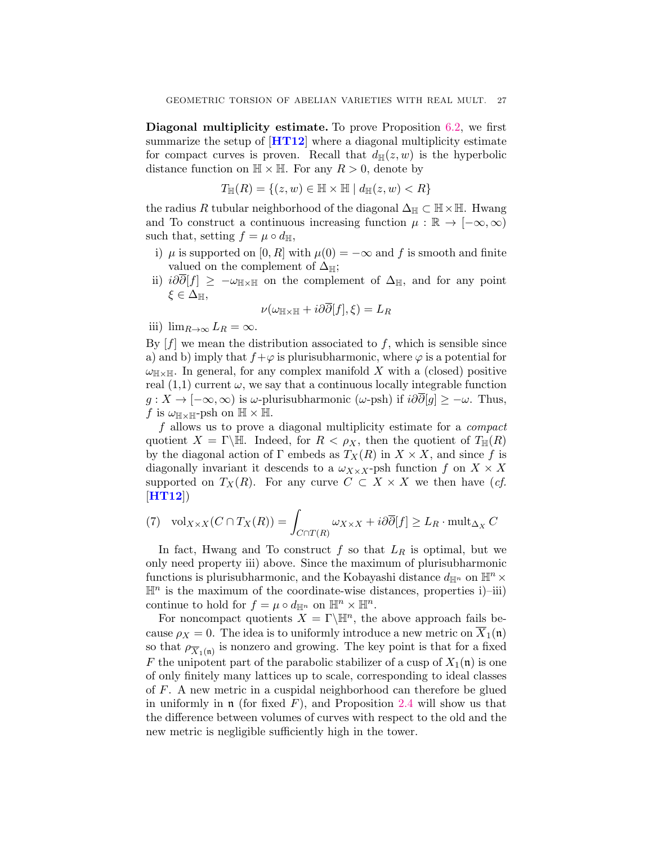Diagonal multiplicity estimate. To prove Proposition [6.2,](#page-25-0) we first summarize the setup of  $[HT12]$  $[HT12]$  $[HT12]$  where a diagonal multiplicity estimate for compact curves is proven. Recall that  $d_{\mathbb{H}}(z, w)$  is the hyperbolic distance function on  $\mathbb{H} \times \mathbb{H}$ . For any  $R > 0$ , denote by

$$
T_{\mathbb{H}}(R) = \{(z, w) \in \mathbb{H} \times \mathbb{H} \mid d_{\mathbb{H}}(z, w) < R\}
$$

the radius R tubular neighborhood of the diagonal  $\Delta_{\mathbb{H}} \subset \mathbb{H} \times \mathbb{H}$ . Hwang and To construct a continuous increasing function  $\mu : \mathbb{R} \to [-\infty, \infty)$ such that, setting  $f = \mu \circ d_{\mathbb{H}},$ 

- i)  $\mu$  is supported on [0, R] with  $\mu(0) = -\infty$  and f is smooth and finite valued on the complement of  $\Delta_{\mathbb{H}}$ ;
- ii)  $i\partial \overline{\partial}[f] \geq -\omega_{\mathbb{H}\times\mathbb{H}}$  on the complement of  $\Delta_{\mathbb{H}}$ , and for any point  $\xi \in \Delta_{\mathbb{H}},$

$$
\nu(\omega_{\mathbb{H}\times\mathbb{H}}+i\partial\partial[f],\xi)=L_R
$$

iii)  $\lim_{R\to\infty} L_R = \infty$ .

By  $[f]$  we mean the distribution associated to f, which is sensible since a) and b) imply that  $f+\varphi$  is plurisubharmonic, where  $\varphi$  is a potential for  $\omega_{\mathbb{H}\times\mathbb{H}}$ . In general, for any complex manifold X with a (closed) positive real  $(1,1)$  current  $\omega$ , we say that a continuous locally integrable function  $g: X \to [-\infty, \infty)$  is  $\omega$ -plurisubharmonic ( $\omega$ -psh) if  $i\partial \overline{\partial}[g] \geq -\omega$ . Thus, f is  $\omega_{\mathbb{H}\times\mathbb{H}}$ -psh on  $\mathbb{H}\times\mathbb{H}$ .

f allows us to prove a diagonal multiplicity estimate for a *compact* quotient  $X = \Gamma \backslash \mathbb{H}$ . Indeed, for  $R < \rho_X$ , then the quotient of  $T_{\mathbb{H}}(R)$ by the diagonal action of Γ embeds as  $T_X(R)$  in  $X \times X$ , and since f is diagonally invariant it descends to a  $\omega_{X\times X}$ -psh function f on  $X\times X$ supported on  $T_X(R)$ . For any curve  $C \subset X \times X$  we then have  $(cf.$  $[HT12]$  $[HT12]$  $[HT12]$ 

(7) 
$$
\operatorname{vol}_{X \times X}(C \cap T_X(R)) = \int_{C \cap T(R)} \omega_{X \times X} + i\partial \overline{\partial}[f] \ge L_R \cdot \operatorname{mult}_{\Delta_X} C
$$

In fact, Hwang and To construct  $f$  so that  $L_R$  is optimal, but we only need property iii) above. Since the maximum of plurisubharmonic functions is plurisubharmonic, and the Kobayashi distance  $d_{\mathbb{H}^n}$  on  $\mathbb{H}^n \times$  $\mathbb{H}^n$  is the maximum of the coordinate-wise distances, properties i)–iii) continue to hold for  $f = \mu \circ d_{\mathbb{H}^n}$  on  $\mathbb{H}^n \times \mathbb{H}^n$ .

For noncompact quotients  $X = \Gamma \backslash \mathbb{H}^n$ , the above approach fails because  $\rho_X = 0$ . The idea is to uniformly introduce a new metric on  $X_1(\mathfrak{n})$ so that  $\rho_{\overline{X}_1(\mathfrak{n})}$  is nonzero and growing. The key point is that for a fixed F the unipotent part of the parabolic stabilizer of a cusp of  $X_1(\mathfrak{n})$  is one of only finitely many lattices up to scale, corresponding to ideal classes of F. A new metric in a cuspidal neighborhood can therefore be glued in uniformly in  $\mathfrak n$  (for fixed F), and Proposition [2.4](#page-10-0) will show us that the difference between volumes of curves with respect to the old and the new metric is negligible sufficiently high in the tower.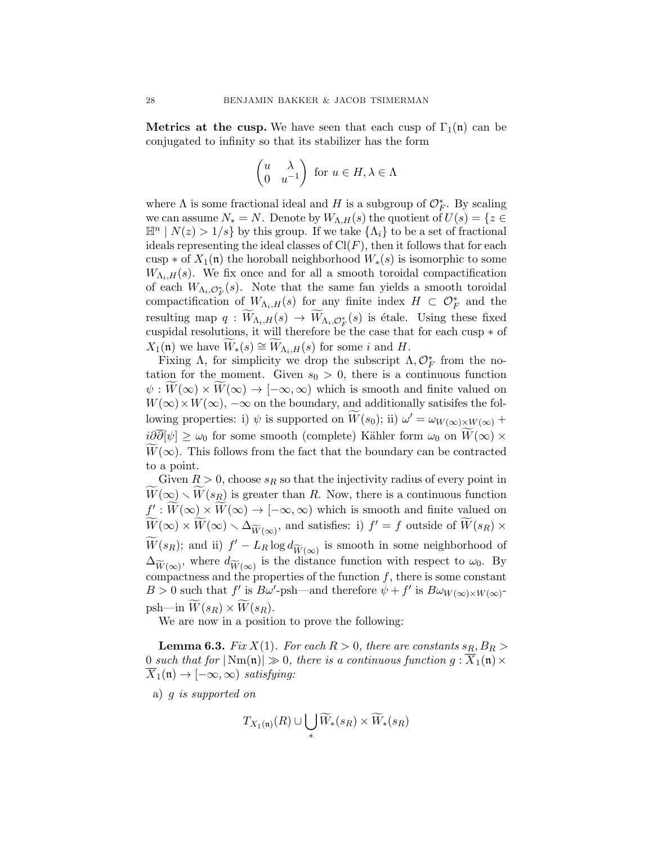**Metrics at the cusp.** We have seen that each cusp of  $\Gamma_1(\mathfrak{n})$  can be conjugated to infinity so that its stabilizer has the form

$$
\begin{pmatrix} u & \lambda \\ 0 & u^{-1} \end{pmatrix} \text{ for } u \in H, \lambda \in \Lambda
$$

where  $\Lambda$  is some fractional ideal and H is a subgroup of  $\mathcal{O}_F^*$ . By scaling we can assume  $N_* = N$ . Denote by  $W_{\Lambda,H}(s)$  the quotient of  $U(s) = \{z \in$  $\mathbb{H}^n \mid N(z) > 1/s$  by this group. If we take  $\{\Lambda_i\}$  to be a set of fractional ideals representing the ideal classes of  $Cl(F)$ , then it follows that for each cusp  $\ast$  of  $X_1(\mathfrak{n})$  the horoball neighborhood  $W_*(s)$  is isomorphic to some  $W_{\Lambda_i,H}(s)$ . We fix once and for all a smooth toroidal compactification of each  $W_{\Lambda_i, \mathcal{O}_F^*}(s)$ . Note that the same fan yields a smooth toroidal compactification of  $W_{\Lambda_i,H}(s)$  for any finite index  $H \subset \mathcal{O}_F^*$  and the resulting map  $q: W_{\Lambda_i,H}(s) \to W_{\Lambda_i,\mathcal{O}_F^*}(s)$  is étale. Using these fixed cuspidal resolutions, it will therefore be the case that for each cusp ∗ of  $X_1(\mathfrak{n})$  we have  $W_*(s) \cong W_{\Lambda_i,H}(s)$  for some i and H.

Fixing  $\Lambda$ , for simplicity we drop the subscript  $\Lambda, \mathcal{O}_F^*$  from the notation for the moment. Given  $s_0 > 0$ , there is a continuous function  $\psi: W(\infty) \times W(\infty) \to [-\infty, \infty)$  which is smooth and finite valued on  $W(\infty) \times W(\infty)$ ,  $-\infty$  on the boundary, and additionally satisifes the following properties: i)  $\psi$  is supported on  $\widetilde{W}(s_0)$ ; ii)  $\omega' = \omega_{W(\infty)\times W(\infty)} +$  $i\partial\overline{\partial}[\psi] \geq \omega_0$  for some smooth (complete) Kähler form  $\omega_0$  on  $W(\infty) \times$  $\widetilde{W}(\infty)$ . This follows from the fact that the boundary can be contracted to a point.

Given  $R > 0$ , choose  $s_R$  so that the injectivity radius of every point in  $W(\infty) \setminus W(s_R)$  is greater than R. Now, there is a continuous function  $f': \widetilde{W}(\infty) \times \widetilde{W}(\infty) \to [-\infty, \infty)$  which is smooth and finite valued on  $\widetilde{W}(\infty) \times \widetilde{W}(\infty) \setminus \Delta_{\widetilde{W}(\infty)}$ , and satisfies: i)  $f' = f$  outside of  $\widetilde{W}(s_R) \times$  $\widetilde{W}(s_R)$ ; and ii)  $f' - L_R \log d_{\widetilde{W}(\infty)}$  is smooth in some neighborhood of  $\Delta_{\widetilde{W}(\infty)}$ , where  $d_{\widetilde{W}(\infty)}$  is the distance function with respect to  $\omega_0$ . By compactness and the properties of the function  $f$ , there is some constant  $B > 0$  such that f' is  $B\omega'$ -psh—and therefore  $\psi + f'$  is  $B\omega_{W(\infty) \times W(\infty)}$ psh—in  $\widetilde{W}(s_R) \times \widetilde{W}(s_R)$ .

We are now in a position to prove the following:

**Lemma 6.3.** Fix  $X(1)$ . For each  $R > 0$ , there are constants  $s_R$ ,  $B_R >$ 0 such that for  $|\text{Nm}(\mathfrak{n})| \gg 0$ , there is a continuous function  $g: \overline{X}_1(\mathfrak{n}) \times$  $\overline{X}_1(\mathfrak{n}) \to [-\infty, \infty)$  satisfying:

a) g is supported on

$$
T_{X_1(\mathfrak{n})}(R) \cup \bigcup_* \widetilde{W}_*(s_R) \times \widetilde{W}_*(s_R)
$$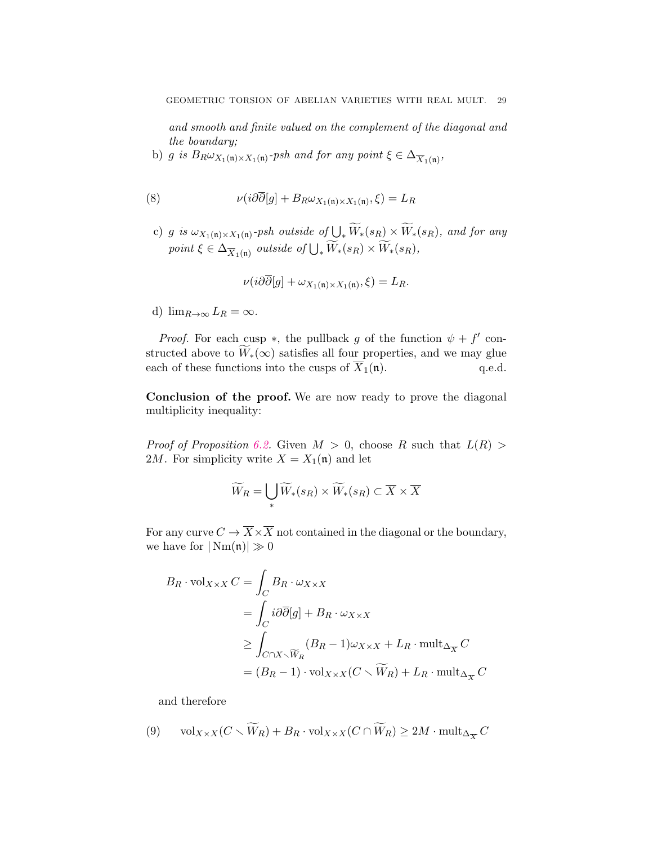and smooth and finite valued on the complement of the diagonal and the boundary;

b) g is  $B_R \omega_{X_1(\mathfrak{n}) \times X_1(\mathfrak{n})}$ -psh and for any point  $\xi \in \Delta_{\overline{X}_1(\mathfrak{n})}$ ,

(8) 
$$
\nu(i\partial\overline{\partial}[g] + B_R\omega_{X_1(\mathfrak{n})\times X_1(\mathfrak{n})},\xi) = L_R
$$

c) g is  $\omega_{X_1(\mathfrak{n}) \times X_1(\mathfrak{n})}$ -psh outside of  $\bigcup_* W_*(s_R) \times W_*(s_R)$ , and for any point  $\xi \in \Delta_{\overline{X}_1(\mathfrak{n})}$  outside of  $\bigcup_* W_*(s_R) \times W_*(s_R)$ ,

$$
\nu(i\partial\partial[g] + \omega_{X_1(\mathfrak{n}) \times X_1(\mathfrak{n})}, \xi) = L_R.
$$

d)  $\lim_{R\to\infty}L_R=\infty$ .

*Proof.* For each cusp  $*$ , the pullback g of the function  $\psi + f'$  constructed above to  $\overline{W}_*(\infty)$  satisfies all four properties, and we may glue each of these functions into the cusps of  $\overline{X}_1(\mathfrak{n})$ . q.e.d. each of these functions into the cusps of  $\overline{X}_1(\mathfrak{n})$ .

Conclusion of the proof. We are now ready to prove the diagonal multiplicity inequality:

*Proof of Proposition [6.2.](#page-25-0)* Given  $M > 0$ , choose R such that  $L(R) >$ 2M. For simplicity write  $X = X_1(\mathfrak{n})$  and let

$$
\widetilde{W}_R = \bigcup_* \widetilde{W}_*(s_R) \times \widetilde{W}_*(s_R) \subset \overline{X} \times \overline{X}
$$

For any curve  $C \to \overline{X} \times \overline{X}$  not contained in the diagonal or the boundary, we have for  $|\text{Nm}(\mathfrak{n})| \gg 0$ 

$$
B_R \cdot \text{vol}_{X \times X} C = \int_C B_R \cdot \omega_{X \times X}
$$
  
= 
$$
\int_C i \partial \overline{\partial} [g] + B_R \cdot \omega_{X \times X}
$$
  

$$
\geq \int_{C \cap X \smallsetminus \widetilde{W}_R} (B_R - 1) \omega_{X \times X} + L_R \cdot \text{mult}_{\Delta_{\overline{X}}} C
$$
  
= 
$$
(B_R - 1) \cdot \text{vol}_{X \times X} (C \smallsetminus \widetilde{W}_R) + L_R \cdot \text{mult}_{\Delta_{\overline{X}}} C
$$

<span id="page-28-0"></span>and therefore

(9) 
$$
\text{vol}_{X \times X}(C \setminus \widetilde{W}_R) + B_R \cdot \text{vol}_{X \times X}(C \cap \widetilde{W}_R) \ge 2M \cdot \text{mult}_{\Delta_{\overline{X}}} C
$$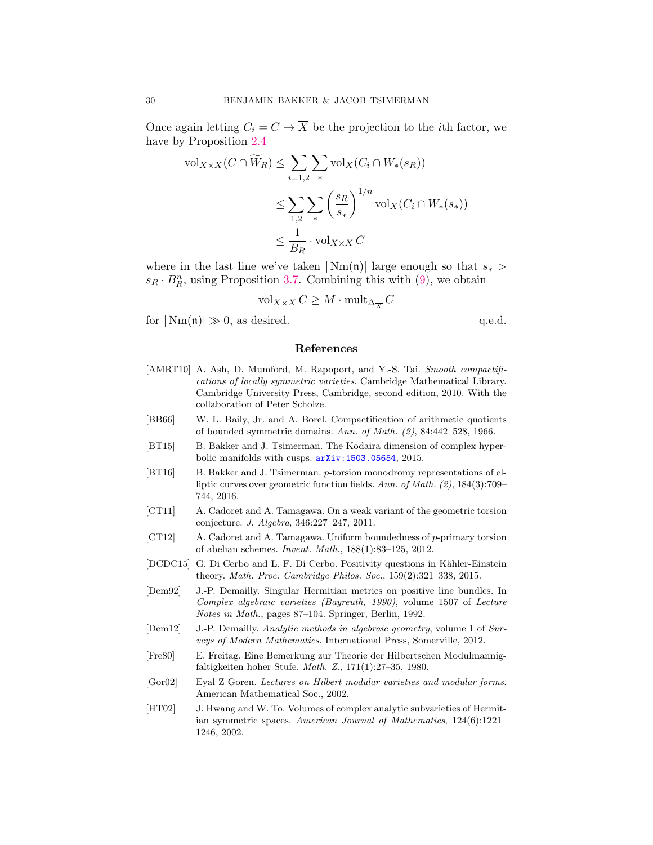Once again letting  $C_i = C \rightarrow \overline{X}$  be the projection to the *i*th factor, we have by Proposition [2.4](#page-10-0)

$$
\text{vol}_{X \times X}(C \cap \widetilde{W}_R) \le \sum_{i=1,2} \sum_{\ast} \text{vol}_X(C_i \cap W_{\ast}(s_R))
$$
  

$$
\le \sum_{1,2} \sum_{\ast} \left(\frac{s_R}{s_{\ast}}\right)^{1/n} \text{vol}_X(C_i \cap W_{\ast}(s_{\ast}))
$$
  

$$
\le \frac{1}{B_R} \cdot \text{vol}_{X \times X} C
$$

where in the last line we've taken  $|\text{Nm}(\mathfrak{n})|$  large enough so that  $s_*$  $s_R \cdot B_R^n$ , using Proposition [3.7.](#page-18-2) Combining this with [\(9\)](#page-28-0), we obtain

$$
\mathrm{vol}_{X \times X} C \geq M \cdot \mathrm{mult}_{\Delta_{\overline{X}}} C
$$

for  $|\text{Nm}(\mathfrak{n})| \gg 0$ , as desired. q.e.d.

# References

- <span id="page-29-6"></span>[AMRT10] A. Ash, D. Mumford, M. Rapoport, and Y.-S. Tai. Smooth compactifications of locally symmetric varieties. Cambridge Mathematical Library. Cambridge University Press, Cambridge, second edition, 2010. With the collaboration of Peter Scholze.
- <span id="page-29-5"></span>[BB66] W. L. Baily, Jr. and A. Borel. Compactification of arithmetic quotients of bounded symmetric domains. Ann. of Math. (2), 84:442–528, 1966.
- <span id="page-29-2"></span>[BT15] B. Bakker and J. Tsimerman. The Kodaira dimension of complex hyperbolic manifolds with cusps. [arXiv:1503.05654](http://arxiv.org/abs/1503.05654), 2015.
- <span id="page-29-3"></span>[BT16] B. Bakker and J. Tsimerman. p-torsion monodromy representations of elliptic curves over geometric function fields. Ann. of Math. (2), 184(3):709– 744, 2016.
- <span id="page-29-0"></span>[CT11] A. Cadoret and A. Tamagawa. On a weak variant of the geometric torsion conjecture. J. Algebra, 346:227–247, 2011.
- <span id="page-29-1"></span>[CT12] A. Cadoret and A. Tamagawa. Uniform boundedness of p-primary torsion of abelian schemes. Invent. Math., 188(1):83–125, 2012.
- <span id="page-29-8"></span>[DCDC15] G. Di Cerbo and L. F. Di Cerbo. Positivity questions in Kähler-Einstein theory. Math. Proc. Cambridge Philos. Soc., 159(2):321–338, 2015.
- <span id="page-29-9"></span>[Dem92] J.-P. Demailly. Singular Hermitian metrics on positive line bundles. In Complex algebraic varieties (Bayreuth, 1990), volume 1507 of Lecture Notes in Math., pages 87–104. Springer, Berlin, 1992.
- <span id="page-29-7"></span>[Dem12] J.-P. Demailly. Analytic methods in algebraic geometry, volume 1 of Surveys of Modern Mathematics. International Press, Somerville, 2012.
- <span id="page-29-11"></span>[Fre80] E. Freitag. Eine Bemerkung zur Theorie der Hilbertschen Modulmannigfaltigkeiten hoher Stufe. Math. Z., 171(1):27–35, 1980.
- <span id="page-29-10"></span>[Gor02] Eyal Z Goren. Lectures on Hilbert modular varieties and modular forms. American Mathematical Soc., 2002.
- <span id="page-29-4"></span>[HT02] J. Hwang and W. To. Volumes of complex analytic subvarieties of Hermitian symmetric spaces. American Journal of Mathematics, 124(6):1221– 1246, 2002.